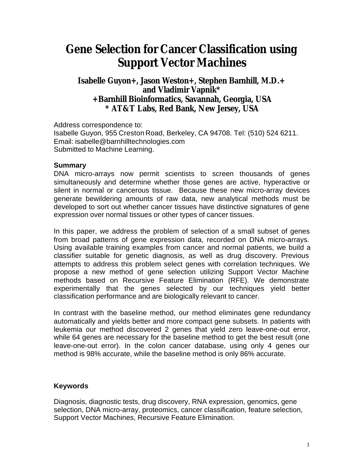# *Gene Selection for Cancer Classification using Support Vector Machines*

# *Isabelle Guyon+, Jason Weston+, Stephen Barnhill, M.D.+ and Vladimir Vapnik\* +Barnhill Bioinformatics, Savannah, Georgia, USA \* AT&T Labs, Red Bank, New Jersey, USA*

Address correspondence to: Isabelle Guyon, 955 Creston Road, Berkeley, CA 94708. Tel: (510) 524 6211. Email: isabelle@barnhilltechnologies.com Submitted to Machine Learning.

#### **Summary**

DNA micro-arrays now permit scientists to screen thousands of genes simultaneously and determine whether those genes are active, hyperactive or silent in normal or cancerous tissue. Because these new micro-array devices generate bewildering amounts of raw data, new analytical methods must be developed to sort out whether cancer tissues have distinctive signatures of gene expression over normal tissues or other types of cancer tissues.

In this paper, we address the problem of selection of a small subset of genes from broad patterns of gene expression data, recorded on DNA micro-arrays. Using available training examples from cancer and normal patients, we build a classifier suitable for genetic diagnosis, as well as drug discovery. Previous attempts to address this problem select genes with correlation techniques. We propose a new method of gene selection utilizing Support Vector Machine methods based on Recursive Feature Elimination (RFE). We demonstrate experimentally that the genes selected by our techniques yield better classification performance and are biologically relevant to cancer.

In contrast with the baseline method, our method eliminates gene redundancy automatically and yields better and more compact gene subsets. In patients with leukemia our method discovered 2 genes that yield zero leave-one-out error, while 64 genes are necessary for the baseline method to get the best result (one leave-one-out error). In the colon cancer database, using only 4 genes our method is 98% accurate, while the baseline method is only 86% accurate.

#### **Keywords**

Diagnosis, diagnostic tests, drug discovery, RNA expression, genomics, gene selection, DNA micro-array, proteomics, cancer classification, feature selection, Support Vector Machines, Recursive Feature Elimination.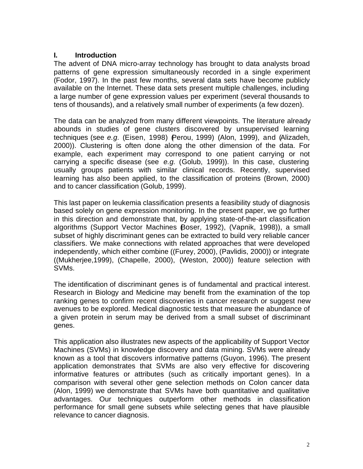## **I. Introduction**

The advent of DNA micro-array technology has brought to data analysts broad patterns of gene expression simultaneously recorded in a single experiment (Fodor, 1997). In the past few months, several data sets have become publicly available on the Internet. These data sets present multiple challenges, including a large number of gene expression values per experiment (several thousands to tens of thousands), and a relatively small number of experiments (a few dozen).

The data can be analyzed from many different viewpoints. The literature already abounds in studies of gene clusters discovered by unsupervised learning techniques (see *e.g.* (Eisen, 1998) (Perou, 1999) (Alon, 1999), and (Alizadeh, 2000)). Clustering is often done along the other dimension of the data. For example, each experiment may correspond to one patient carrying or not carrying a specific disease (see *e.g.* (Golub, 1999)). In this case, clustering usually groups patients with similar clinical records. Recently, supervised learning has also been applied, to the classification of proteins (Brown, 2000) and to cancer classification (Golub, 1999).

This last paper on leukemia classification presents a feasibility study of diagnosis based solely on gene expression monitoring. In the present paper, we go further in this direction and demonstrate that, by applying state-of-the-art classification algorithms (Support Vector Machines (Boser, 1992), (Vapnik, 1998)), a small subset of highly discriminant genes can be extracted to build very reliable cancer classifiers. We make connections with related approaches that were developed independently, which either combine ((Furey, 2000), (Pavlidis, 2000)) or integrate ((Mukherjee,1999), (Chapelle, 2000), (Weston, 2000)) feature selection with SVMs.

The identification of discriminant genes is of fundamental and practical interest. Research in Biology and Medicine may benefit from the examination of the top ranking genes to confirm recent discoveries in cancer research or suggest new avenues to be explored. Medical diagnostic tests that measure the abundance of a given protein in serum may be derived from a small subset of discriminant genes.

This application also illustrates new aspects of the applicability of Support Vector Machines (SVMs) in knowledge discovery and data mining. SVMs were already known as a tool that discovers informative patterns (Guyon, 1996). The present application demonstrates that SVMs are also very effective for discovering informative features or attributes (such as critically important genes). In a comparison with several other gene selection methods on Colon cancer data (Alon, 1999) we demonstrate that SVMs have both quantitative and qualitative advantages. Our techniques outperform other methods in classification performance for small gene subsets while selecting genes that have plausible relevance to cancer diagnosis.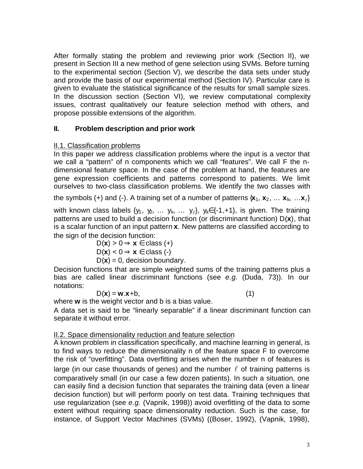After formally stating the problem and reviewing prior work (Section II), we present in Section III a new method of gene selection using SVMs. Before turning to the experimental section (Section V), we describe the data sets under study and provide the basis of our experimental method (Section IV). Particular care is given to evaluate the statistical significance of the results for small sample sizes. In the discussion section (Section VI), we review computational complexity issues, contrast qualitatively our feature selection method with others, and propose possible extensions of the algorithm.

## **II. Problem description and prior work**

#### II.1. Classification problems

In this paper we address classification problems where the input is a vector that we call a "pattern" of n components which we call "features". We call F the ndimensional feature space. In the case of the problem at hand, the features are gene expression coefficients and patterns correspond to patients. We limit ourselves to two-class classification problems. We identify the two classes with

the symbols (+) and (-). A training set of a number of patterns  $\{x_1,~x_2,~\dots~x_k,~\dots x_\ell\}$ 

with known class labels {y<sub>1</sub>, y<sub>2</sub>, ... y<sub>k</sub>, ... y<sub>ℓ</sub>}, y<sub>k</sub>∈ {-1,+1}, is given. The training patterns are used to build a decision function (or discriminant function) D(**x**), that is a scalar function of an input pattern **x**. New patterns are classified according to the sign of the decision function:

$$
D(\mathbf{x}) > 0 \Rightarrow \mathbf{x} \in \text{class } (+)
$$

 $D(x) < 0 \Rightarrow x \in \text{class}(-)$ 

 $D(x) = 0$ , decision boundary.

Decision functions that are simple weighted sums of the training patterns plus a bias are called linear discriminant functions (see *e.g.* (Duda, 73)). In our notations:

$$
D(x) = w.x + b,
$$
  
where **w** is the weight vector and b is a bias value. (1)

A data set is said to be "linearly separable" if a linear discriminant function can separate it without error.

#### II.2. Space dimensionality reduction and feature selection

A known problem in classification specifically, and machine learning in general, is to find ways to reduce the dimensionality n of the feature space F to overcome the risk of "overfitting". Data overfitting arises when the number n of features is large (in our case thousands of genes) and the number  $\ell$  of training patterns is comparatively small (in our case a few dozen patients). In such a situation, one can easily find a decision function that separates the training data (even a linear decision function) but will perform poorly on test data. Training techniques that use regularization (see *e.g.* (Vapnik, 1998)) avoid overfitting of the data to some extent without requiring space dimensionality reduction. Such is the case, for instance, of Support Vector Machines (SVMs) ((Boser, 1992), (Vapnik, 1998),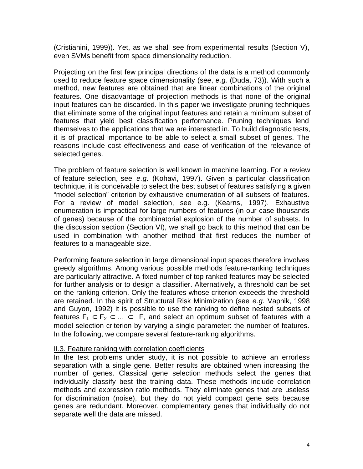(Cristianini, 1999)). Yet, as we shall see from experimental results (Section V), even SVMs benefit from space dimensionality reduction.

Projecting on the first few principal directions of the data is a method commonly used to reduce feature space dimensionality (see, *e.g.* (Duda, 73)). With such a method, new features are obtained that are linear combinations of the original features. One disadvantage of projection methods is that none of the original input features can be discarded. In this paper we investigate pruning techniques that eliminate some of the original input features and retain a minimum subset of features that yield best classification performance. Pruning techniques lend themselves to the applications that we are interested in. To build diagnostic tests, it is of practical importance to be able to select a small subset of genes. The reasons include cost effectiveness and ease of verification of the relevance of selected genes.

The problem of feature selection is well known in machine learning. For a review of feature selection, see *e.g.* (Kohavi, 1997). Given a particular classification technique, it is conceivable to select the best subset of features satisfying a given "model selection" criterion by exhaustive enumeration of all subsets of features. For a review of model selection, see e.g. (Kearns, 1997). Exhaustive enumeration is impractical for large numbers of features (in our case thousands of genes) because of the combinatorial explosion of the number of subsets. In the discussion section (Section VI), we shall go back to this method that can be used in combination with another method that first reduces the number of features to a manageable size.

Performing feature selection in large dimensional input spaces therefore involves greedy algorithms. Among various possible methods feature-ranking techniques are particularly attractive. A fixed number of top ranked features may be selected for further analysis or to design a classifier. Alternatively, a threshold can be set on the ranking criterion. Only the features whose criterion exceeds the threshold are retained. In the spirit of Structural Risk Minimization (see *e.g.* Vapnik, 1998 and Guyon, 1992) it is possible to use the ranking to define nested subsets of features  $F_1 \subset F_2 \subset \ldots \subset F$ , and select an optimum subset of features with a model selection criterion by varying a single parameter: the number of features. In the following, we compare several feature-ranking algorithms.

#### II.3. Feature ranking with correlation coefficients

In the test problems under study, it is not possible to achieve an errorless separation with a single gene. Better results are obtained when increasing the number of genes. Classical gene selection methods select the genes that individually classify best the training data. These methods include correlation methods and expression ratio methods. They eliminate genes that are useless for discrimination (noise), but they do not yield compact gene sets because genes are redundant. Moreover, complementary genes that individually do not separate well the data are missed.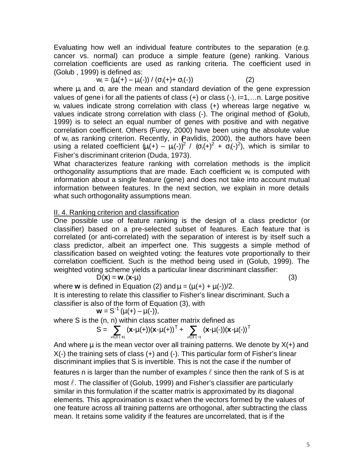Evaluating how well an individual feature contributes to the separation (e.g. cancer vs. normal) can produce a simple feature (gene) ranking. Various correlation coefficients are used as ranking criteria. The coefficient used in (Golub , 1999) is defined as:

$$
W_{i} = (\mu_{i}(+)-\mu_{i}(-)) / (\sigma_{i}(+)+\sigma_{i}(-))
$$
 (2)

where  $\mu_i$  and  $\sigma_i$  are the mean and standard deviation of the gene expression values of gene i for all the patients of class  $(+)$  or class  $(-)$ , i=1,...n. Large positive  $w_i$  values indicate strong correlation with class (+) whereas large negative  $w_i$ values indicate strong correlation with class (-). The original method of (Golub, 1999) is to select an equal number of genes with positive and with negative correlation coefficient. Others (Furey, 2000) have been using the absolute value of  $w_i$  as ranking criterion. Recently, in Pavlidis, 2000), the authors have been using a related coefficient  $(\mu_i(+)) - (\mu_i(-))^2 / (\sigma_i(+))^2 + \sigma_i(-)^2)$ , which is similar to Fisher's discriminant criterion (Duda, 1973).

What characterizes feature ranking with correlation methods is the implicit orthogonality assumptions that are made. Each coefficient  $w_i$  is computed with information about a single feature (gene) and does not take into account mutual information between features. In the next section, we explain in more details what such orthogonality assumptions mean.

#### II. 4. Ranking criterion and classification

One possible use of feature ranking is the design of a class predictor (or classifier) based on a pre-selected subset of features. Each feature that is correlated (or anti-correlated) with the separation of interest is by itself such a class predictor, albeit an imperfect one. This suggests a simple method of classification based on weighted voting: the features vote proportionally to their correlation coefficient. Such is the method being used in (Golub, 1999). The weighted voting scheme yields a particular linear discriminant classifier:

$$
D(\mathbf{x}) = \mathbf{w} \cdot (\mathbf{x} - \mathbf{m}) \tag{3}
$$

where **w** is defined in Equation (2) and  $m = (m(+) + m(-))/2$ . It is interesting to relate this classifier to Fisher's linear discriminant. Such a classifier is also of the form of Equation (3), with

$$
\mathbf{w} = \mathbf{S}^{-1} \left( \mathbf{m}(+) - \mathbf{m}(-) \right),
$$

where S is the (n, n) within class scatter matrix defined as

$$
S = \sum_{x \in X(+)} (\mathbf{x} - \mathbf{m}(+)) (\mathbf{x} - \mathbf{m}(+))^\top + \sum_{x \in X(-)} (\mathbf{x} - \mathbf{m}(+)) (\mathbf{x} - \mathbf{m}(+))^\top
$$

And where **m** is the mean vector over all training patterns. We denote by  $X(+)$  and X(-) the training sets of class (+) and (-). This particular form of Fisher's linear discriminant implies that S is invertible. This is not the case if the number of

features n is larger than the number of examples  $\ell$  since then the rank of S is at

most  $\ell$ . The classifier of (Golub, 1999) and Fisher's classifier are particularly similar in this formulation if the scatter matrix is approximated by its diagonal elements. This approximation is exact when the vectors formed by the values of one feature across all training patterns are orthogonal, after subtracting the class mean. It retains some validity if the features are uncorrelated, that is if the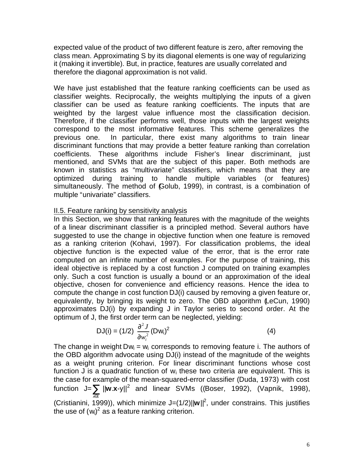expected value of the product of two different feature is zero, after removing the class mean. Approximating S by its diagonal elements is one way of regularizing it (making it invertible). But, in practice, features are usually correlated and therefore the diagonal approximation is not valid.

We have just established that the feature ranking coefficients can be used as classifier weights. Reciprocally, the weights multiplying the inputs of a given classifier can be used as feature ranking coefficients. The inputs that are weighted by the largest value influence most the classification decision. Therefore, if the classifier performs well, those inputs with the largest weights correspond to the most informative features. This scheme generalizes the previous one. In particular, there exist many algorithms to train linear discriminant functions that may provide a better feature ranking than correlation coefficients. These algorithms include Fisher's linear discriminant, just mentioned, and SVMs that are the subject of this paper. Both methods are known in statistics as "multivariate" classifiers, which means that they are optimized during training to handle multiple variables (or features) simultaneously. The method of (Golub, 1999), in contrast, is a combination of multiple "univariate" classifiers.

#### II.5. Feature ranking by sensitivity analysis

In this Section, we show that ranking features with the magnitude of the weights of a linear discriminant classifier is a principled method. Several authors have suggested to use the change in objective function when one feature is removed as a ranking criterion (Kohavi, 1997). For classification problems, the ideal objective function is the expected value of the error, that is the error rate computed on an infinite number of examples. For the purpose of training, this ideal objective is replaced by a cost function J computed on training examples only. Such a cost function is usually a bound or an approximation of the ideal objective, chosen for convenience and efficiency reasons. Hence the idea to compute the change in cost function DJ(i) caused by removing a given feature or, equivalently, by bringing its weight to zero. The OBD algorithm (LeCun, 1990) approximates DJ(i) by expanding J in Taylor series to second order. At the optimum of J, the first order term can be neglected, yielding:

$$
DJ(i) = (1/2) \frac{\partial^2 J}{\partial w_i^2} (Dw_i)^2
$$
 (4)

The change in weight  $Dw_i = w_i$  corresponds to removing feature i. The authors of the OBD algorithm advocate using DJ(i) instead of the magnitude of the weights as a weight pruning criterion. For linear discriminant functions whose cost function J is a quadratic function of  $w_i$  these two criteria are equivalent. This is the case for example of the mean-squared-error classifier (Duda, 1973) with cost function J=∑||**w**.**x**-y||<sup>2</sup> and linear SVMs ((Boser, 1992), (Vapnik, 1998), *x*∈*X* (Cristianini, 1999)), which minimize J=(1/2)||**w**||<sup>2</sup> , under constrains. This justifies the use of  $(w_i)^2$  as a feature ranking criterion.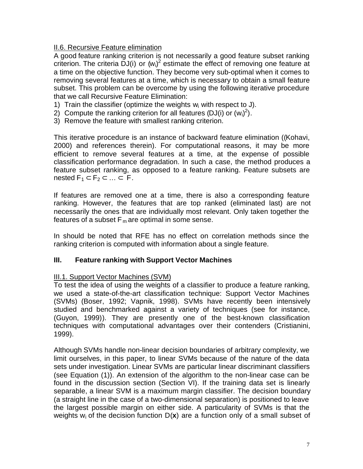## II.6. Recursive Feature elimination

A good feature ranking criterion is not necessarily a good feature subset ranking criterion. The criteria  $\tilde{D}J(i)$  or  $(w_i)^2$  estimate the effect of removing one feature at a time on the objective function. They become very sub-optimal when it comes to removing several features at a time, which is necessary to obtain a small feature subset. This problem can be overcome by using the following iterative procedure that we call Recursive Feature Elimination:

- 1) Train the classifier (optimize the weights  $w_i$  with respect to J).
- 2) Compute the ranking criterion for all features (DJ(i) or  $(w_i)^2$ ).
- 3) Remove the feature with smallest ranking criterion.

This iterative procedure is an instance of backward feature elimination ((Kohavi, 2000) and references therein). For computational reasons, it may be more efficient to remove several features at a time, at the expense of possible classification performance degradation. In such a case, the method produces a feature subset ranking, as opposed to a feature ranking. Feature subsets are nested  $F_1 \subset F_2 \subset ... \subset F$ .

If features are removed one at a time, there is also a corresponding feature ranking. However, the features that are top ranked (eliminated last) are not necessarily the ones that are individually most relevant. Only taken together the features of a subset  $F_m$  are optimal in some sense.

In should be noted that RFE has no effect on correlation methods since the ranking criterion is computed with information about a single feature.

#### **III. Feature ranking with Support Vector Machines**

#### III.1. Support Vector Machines (SVM)

To test the idea of using the weights of a classifier to produce a feature ranking, we used a state-of-the-art classification technique: Support Vector Machines (SVMs) (Boser, 1992; Vapnik, 1998). SVMs have recently been intensively studied and benchmarked against a variety of techniques (see for instance, (Guyon, 1999)). They are presently one of the best-known classification techniques with computational advantages over their contenders (Cristianini, 1999).

Although SVMs handle non-linear decision boundaries of arbitrary complexity, we limit ourselves, in this paper, to linear SVMs because of the nature of the data sets under investigation. Linear SVMs are particular linear discriminant classifiers (see Equation (1)). An extension of the algorithm to the non-linear case can be found in the discussion section (Section VI). If the training data set is linearly separable, a linear SVM is a maximum margin classifier. The decision boundary (a straight line in the case of a two-dimensional separation) is positioned to leave the largest possible margin on either side. A particularity of SVMs is that the weights  $w_i$  of the decision function  $D(x)$  are a function only of a small subset of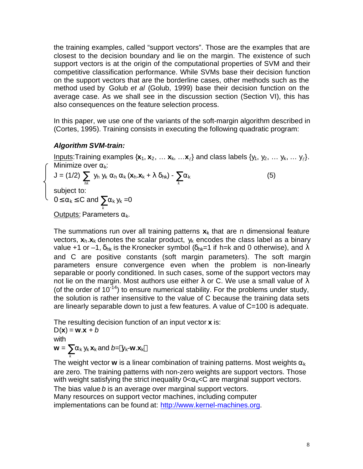the training examples, called "support vectors". Those are the examples that are closest to the decision boundary and lie on the margin. The existence of such support vectors is at the origin of the computational properties of SVM and their competitive classification performance. While SVMs base their decision function on the support vectors that are the borderline cases, other methods such as the method used by Golub *et al* (Golub, 1999) base their decision function on the average case. As we shall see in the discussion section (Section VI), this has also consequences on the feature selection process.

In this paper, we use one of the variants of the soft-margin algorithm described in (Cortes, 1995). Training consists in executing the following quadratic program:

## *Algorithm SVM-train:*

<u>Inputs</u>:Training examples {**x**<sub>1</sub>, **x**<sub>2</sub>, … **x**<sub>k</sub>, …**x**<sub>ℓ</sub>} and class labels {y<sub>1</sub>, y<sub>2</sub>, … y<sub>k</sub>, … y<sub>ℓ</sub>}. Minimize over  $\alpha_k$ :

$$
J = (1/2) \sum_{hk} y_h y_k \alpha_h \alpha_k (\mathbf{x}_h.\mathbf{x}_k + \lambda \delta_{hk}) - \sum_k \alpha_k
$$
  
subject to:  

$$
0 \le \alpha_k \le C \text{ and } \sum_k \alpha_k y_k = 0
$$
 (5)

Outputs: Parameters  $\alpha_k$ .

The summations run over all training patterns  $x_k$  that are n dimensional feature vectors,  $x_h.x_k$  denotes the scalar product,  $y_k$  encodes the class label as a binary value +1 or –1,  $\delta_{hk}$  is the Kronecker symbol ( $\delta_{hk}=1$  if h=k and 0 otherwise), and  $\lambda$ and C are positive constants (soft margin parameters). The soft margin parameters ensure convergence even when the problem is non-linearly separable or poorly conditioned. In such cases, some of the support vectors may not lie on the margin. Most authors use either  $\lambda$  or C. We use a small value of  $\lambda$ (of the order of  $10^{-14}$ ) to ensure numerical stability. For the problems under study, the solution is rather insensitive to the value of C because the training data sets are linearly separable down to just a few features. A value of C=100 is adequate.

The resulting decision function of an input vector **x** is:

 $D(x) = w \cdot x + b$ with  $\mathbf{w} = \sum_{k}$  $\alpha_k$  y<sub>k</sub>  $\mathbf{x}_k$  and  $b = \langle y_k$ -w. $\mathbf{x}_k \rangle$ 

The weight vector **w** is a linear combination of training patterns. Most weights  $\alpha_k$ are zero. The training patterns with non-zero weights are support vectors. Those with weight satisfying the strict inequality  $0 < \alpha_k < C$  are marginal support vectors.

The bias value *b* is an average over marginal support vectors. Many resources on support vector machines, including computer implementations can be found at: http://www.kernel-machines.org.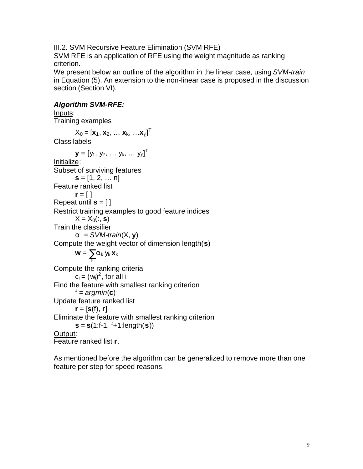## III.2. SVM Recursive Feature Elimination (SVM RFE)

SVM RFE is an application of RFE using the weight magnitude as ranking criterion.

We present below an outline of the algorithm in the linear case, using *SVM-train* in Equation (5). An extension to the non-linear case is proposed in the discussion section (Section VI).

## *Algorithm SVM-RFE:*

```
Inputs:
Training examples
         X_0 = [\mathbf{x}_1, \mathbf{x}_2, \dots \mathbf{x}_k, \dots \mathbf{x}_{\ell}]^{\mathsf{T}}Class labels
         \mathbf{y} = [y_1, y_2, ..., y_k, ..., y_\ell]^\topInitialize:
Subset of surviving features
        s = [1, 2, … n]
Feature ranked list
        r = \lceil \rceilRepeat until s = [ ]
Restrict training examples to good feature indices
        X = X_0(:, \mathbf{s})Train the classifier
        a = \text{SVM-train}(X, y)Compute the weight vector of dimension length(s)
         \mathbf{w} = \sum \alpha_{k} y_{k} \mathbf{x}_{k}k
Compute the ranking criteria
         c_i = (w_i)^2, for all i
Find the feature with smallest ranking criterion
        f = argmin(c)Update feature ranked list

Eliminate the feature with smallest ranking criterion
        s = s(1:f-1, f+1:length(s))
Output:
Feature ranked list r.
```
As mentioned before the algorithm can be generalized to remove more than one feature per step for speed reasons.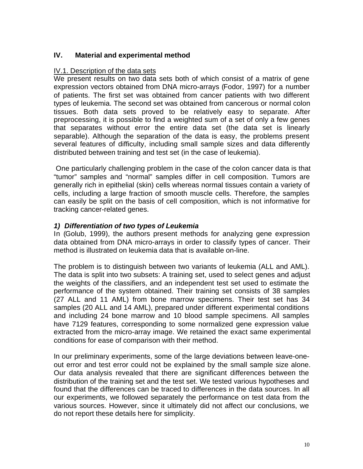## **IV. Material and experimental method**

#### IV.1. Description of the data sets

We present results on two data sets both of which consist of a matrix of gene expression vectors obtained from DNA micro-arrays (Fodor, 1997) for a number of patients. The first set was obtained from cancer patients with two different types of leukemia. The second set was obtained from cancerous or normal colon tissues. Both data sets proved to be relatively easy to separate. After preprocessing, it is possible to find a weighted sum of a set of only a few genes that separates without error the entire data set (the data set is linearly separable). Although the separation of the data is easy, the problems present several features of difficulty, including small sample sizes and data differently distributed between training and test set (in the case of leukemia).

 One particularly challenging problem in the case of the colon cancer data is that "tumor" samples and "normal" samples differ in cell composition. Tumors are generally rich in epithelial (skin) cells whereas normal tissues contain a variety of cells, including a large fraction of smooth muscle cells. Therefore, the samples can easily be split on the basis of cell composition, which is not informative for tracking cancer-related genes.

#### *1) Differentiation of two types of Leukemia*

In (Golub, 1999), the authors present methods for analyzing gene expression data obtained from DNA micro-arrays in order to classify types of cancer. Their method is illustrated on leukemia data that is available on-line.

The problem is to distinguish between two variants of leukemia (ALL and AML). The data is split into two subsets: A training set, used to select genes and adjust the weights of the classifiers, and an independent test set used to estimate the performance of the system obtained. Their training set consists of 38 samples (27 ALL and 11 AML) from bone marrow specimens. Their test set has 34 samples (20 ALL and 14 AML), prepared under different experimental conditions and including 24 bone marrow and 10 blood sample specimens. All samples have 7129 features, corresponding to some normalized gene expression value extracted from the micro-array image. We retained the exact same experimental conditions for ease of comparison with their method.

In our preliminary experiments, some of the large deviations between leave-oneout error and test error could not be explained by the small sample size alone. Our data analysis revealed that there are significant differences between the distribution of the training set and the test set. We tested various hypotheses and found that the differences can be traced to differences in the data sources. In all our experiments, we followed separately the performance on test data from the various sources. However, since it ultimately did not affect our conclusions, we do not report these details here for simplicity.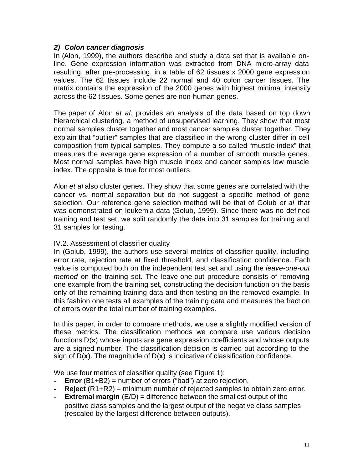#### *2) Colon cancer diagnosis*

In (Alon, 1999), the authors describe and study a data set that is available online. Gene expression information was extracted from DNA micro-array data resulting, after pre-processing, in a table of 62 tissues x 2000 gene expression values. The 62 tissues include 22 normal and 40 colon cancer tissues. The matrix contains the expression of the 2000 genes with highest minimal intensity across the 62 tissues. Some genes are non-human genes.

The paper of Alon *et al*. provides an analysis of the data based on top down hierarchical clustering, a method of unsupervised learning. They show that most normal samples cluster together and most cancer samples cluster together. They explain that "outlier" samples that are classified in the wrong cluster differ in cell composition from typical samples. They compute a so-called "muscle index" that measures the average gene expression of a number of smooth muscle genes. Most normal samples have high muscle index and cancer samples low muscle index. The opposite is true for most outliers.

Alon *et al* also cluster genes. They show that some genes are correlated with the cancer vs. normal separation but do not suggest a specific method of gene selection. Our reference gene selection method will be that of Golub *et al* that was demonstrated on leukemia data (Golub, 1999). Since there was no defined training and test set, we split randomly the data into 31 samples for training and 31 samples for testing.

#### IV.2. Assessment of classifier quality

In (Golub, 1999), the authors use several metrics of classifier quality, including error rate, rejection rate at fixed threshold, and classification confidence. Each value is computed both on the independent test set and using the *leave-one-out method* on the training set. The leave-one-out procedure consists of removing one example from the training set, constructing the decision function on the basis only of the remaining training data and then testing on the removed example. In this fashion one tests all examples of the training data and measures the fraction of errors over the total number of training examples.

In this paper, in order to compare methods, we use a slightly modified version of these metrics. The classification methods we compare use various decision functions D(**x**) whose inputs are gene expression coefficients and whose outputs are a signed number. The classification decision is carried out according to the sign of D(**x**). The magnitude of D(**x**) is indicative of classification confidence.

We use four metrics of classifier quality (see Figure 1):

- **Error** (B1+B2) = number of errors ("bad") at zero rejection.
- **Reject** (R1+R2) = minimum number of rejected samples to obtain zero error.
- **Extremal margin** (E/D) = difference between the smallest output of the positive class samples and the largest output of the negative class samples (rescaled by the largest difference between outputs).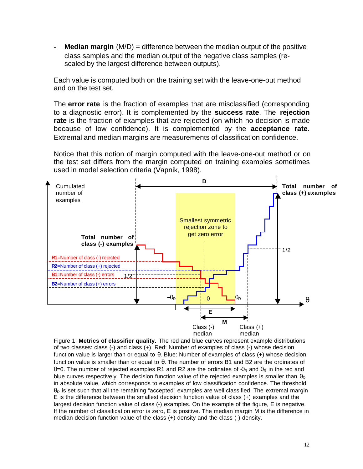**Median margin** (M/D) = difference between the median output of the positive class samples and the median output of the negative class samples (rescaled by the largest difference between outputs).

Each value is computed both on the training set with the leave-one-out method and on the test set.

The **error rate** is the fraction of examples that are misclassified (corresponding to a diagnostic error). It is complemented by the **success rate**. The **rejection rate** is the fraction of examples that are rejected (on which no decision is made because of low confidence). It is complemented by the **acceptance rate**. Extremal and median margins are measurements of classification confidence.

Notice that this notion of margin computed with the leave-one-out method or on the test set differs from the margin computed on training examples sometimes used in model selection criteria (Vapnik, 1998).



Figure 1: **Metrics of classifier quality.** The red and blue curves represent example distributions of two classes: class (-) and class (+). Red: Number of examples of class (-) whose decision function value is larger than or equal to θ. Blue: Number of examples of class (+) whose decision function value is smaller than or equal to θ. The number of errors B1 and B2 are the ordinates of θ=0. The number of rejected examples R1 and R2 are the ordinates of  $\theta_R$  and  $\theta_R$  in the red and blue curves respectively. The decision function value of the rejected examples is smaller than  $\theta_R$ in absolute value, which corresponds to examples of low classification confidence. The threshold  $\theta_R$  is set such that all the remaining "accepted" examples are well classified. The extremal margin E is the difference between the smallest decision function value of class (+) examples and the largest decision function value of class (-) examples. On the example of the figure, E is negative. If the number of classification error is zero, E is positive. The median margin M is the difference in median decision function value of the class (+) density and the class (-) density.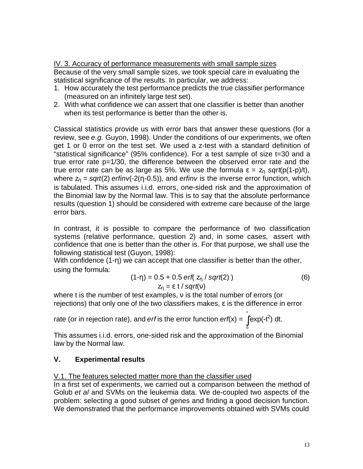## IV. 3. Accuracy of performance measurements with small sample sizes

Because of the very small sample sizes, we took special care in evaluating the statistical significance of the results. In particular, we address:

- 1. How accurately the test performance predicts the true classifier performance (measured on an infinitely large test set).
- 2. With what confidence we can assert that one classifier is better than another when its test performance is better than the other is.

Classical statistics provide us with error bars that answer these questions (for a review, see *e.g.* Guyon, 1998). Under the conditions of our experiments, we often get 1 or 0 error on the test set. We used a z-test with a standard definition of "statistical significance" (95% confidence). For a test sample of size t=30 and a true error rate p=1/30, the difference between the observed error rate and the true error rate can be as large as 5%. We use the formula  $\varepsilon = z_n \sqrt{\frac{g(r(f(p(1-p)/t))}{g(r(r, p/2))}}$ where  $z_n = \frac{sqrt(2)}{e\cdot\frac{1}{2}}$  *erfinv*(-2(η-0.5)), and *erfinv* is the inverse error function, which is tabulated. This assumes i.i.d. errors, one-sided risk and the approximation of the Binomial law by the Normal law. This is to say that the absolute performance results (question 1) should be considered with extreme care because of the large error bars.

In contrast, it is possible to compare the performance of two classification systems (relative performance, question 2) and, in some cases, assert with confidence that one is better than the other is. For that purpose, we shall use the following statistical test (Guyon, 1998):

With confidence (1-η) we can accept that one classifier is better than the other, using the formula:

$$
(1-\eta) = 0.5 + 0.5 \text{ erf}(\ z_{\eta} / \sqrt{2})
$$
\n
$$
z_{\eta} = \varepsilon \ t / \sqrt{2} \ (6)
$$

where t is the number of test examples, ν is the total number of errors (or rejections) that only one of the two classifiers makes, ε is the difference in error

rate (or in rejection rate), and *erf* is the error function *erf*(x) = ∫ ,<br>∫exp(-t<sup>2</sup>) dt. 0

This assumes i.i.d. errors, one-sided risk and the approximation of the Binomial law by the Normal law.

## **V. Experimental results**

## V.1. The features selected matter more than the classifier used

In a first set of experiments, we carried out a comparison between the method of Golub *et al* and SVMs on the leukemia data. We de-coupled two aspects of the problem: selecting a good subset of genes and finding a good decision function. We demonstrated that the performance improvements obtained with SVMs could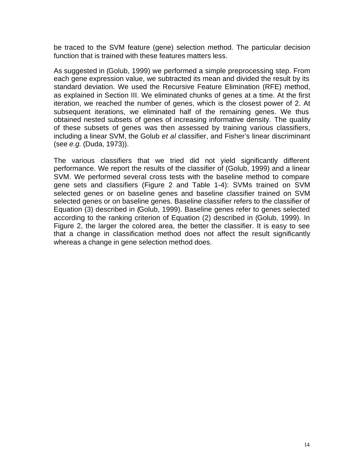be traced to the SVM feature (gene) selection method. The particular decision function that is trained with these features matters less.

As suggested in (Golub, 1999) we performed a simple preprocessing step. From each gene expression value, we subtracted its mean and divided the result by its standard deviation. We used the Recursive Feature Elimination (RFE) method, as explained in Section III. We eliminated chunks of genes at a time. At the first iteration, we reached the number of genes, which is the closest power of 2. At subsequent iterations, we eliminated half of the remaining genes. We thus obtained nested subsets of genes of increasing informative density. The quality of these subsets of genes was then assessed by training various classifiers, including a linear SVM, the Golub *et al* classifier, and Fisher's linear discriminant (see *e.g.* (Duda, 1973)).

The various classifiers that we tried did not yield significantly different performance. We report the results of the classifier of (Golub, 1999) and a linear SVM. We performed several cross tests with the baseline method to compare gene sets and classifiers (Figure 2 and Table 1-4): SVMs trained on SVM selected genes or on baseline genes and baseline classifier trained on SVM selected genes or on baseline genes. Baseline classifier refers to the classifier of Equation (3) described in (Golub, 1999). Baseline genes refer to genes selected according to the ranking criterion of Equation (2) described in (Golub, 1999). In Figure 2, the larger the colored area, the better the classifier. It is easy to see that a change in classification method does not affect the result significantly whereas a change in gene selection method does.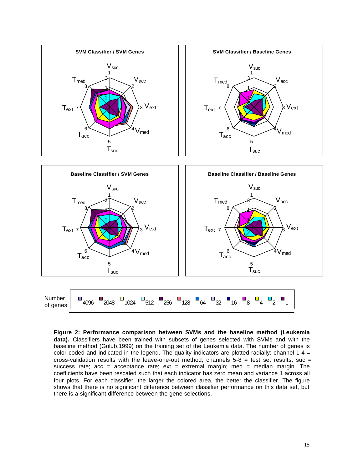

**Figure 2: Performance comparison between SVMs and the baseline method (Leukemia data).** Classifiers have been trained with subsets of genes selected with SVMs and with the baseline method (Golub,1999) on the training set of the Leukemia data. The number of genes is color coded and indicated in the legend. The quality indicators are plotted radially: channel  $1-4 =$ cross-validation results with the leave-one-out method; channels  $5-8 =$  test set results; suc = success rate;  $acc = acceptance$  rate;  $ext{ ext} = extremal margin; med = median margin. The$ coefficients have been rescaled such that each indicator has zero mean and variance 1 across all four plots. For each classifier, the larger the colored area, the better the classifier. The figure shows that there is no significant difference between classifier performance on this data set, but there is a significant difference between the gene selections.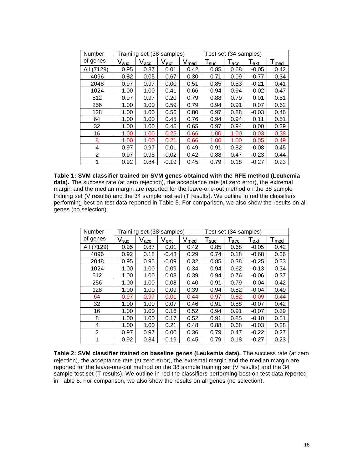| <b>Number</b> |                             | Training set (38 samples) |                             |      |      | Test set (34 samples) |           |      |
|---------------|-----------------------------|---------------------------|-----------------------------|------|------|-----------------------|-----------|------|
| of genes      | $\mathsf{V}_{\mathsf{SUC}}$ | $V_{\text{acc}}$          | $\mathsf{V}_{\mathsf{ext}}$ | med  | suc  | acc                   | $I_{ext}$ | med  |
| All (7129)    | 0.95                        | 0.87                      | 0.01                        | 0.42 | 0.85 | 0.68                  | $-0.05$   | 0.42 |
| 4096          | 0.82                        | 0.05                      | $-0.67$                     | 0.30 | 0.71 | 0.09                  | $-0.77$   | 0.34 |
| 2048          | 0.97                        | 0.97                      | 0.00                        | 0.51 | 0.85 | 0.53                  | $-0.21$   | 0.41 |
| 1024          | 1.00                        | 1.00                      | 0.41                        | 0.66 | 0.94 | 0.94                  | $-0.02$   | 0.47 |
| 512           | 0.97                        | 0.97                      | 0.20                        | 0.79 | 0.88 | 0.79                  | 0.01      | 0.51 |
| 256           | 1.00                        | 1.00                      | 0.59                        | 0.79 | 0.94 | 0.91                  | 0.07      | 0.62 |
| 128           | 1.00                        | 1.00                      | 0.56                        | 0.80 | 0.97 | 0.88                  | $-0.03$   | 0.46 |
| 64            | 1.00                        | 1.00                      | 0.45                        | 0.76 | 0.94 | 0.94                  | 0.11      | 0.51 |
| 32            | 1.00                        | 1.00                      | 0.45                        | 0.65 | 0.97 | 0.94                  | 0.00      | 0.39 |
| 16            | 1.00                        | 1.00                      | 0.25                        | 0.66 | 1.00 | 1.00                  | 0.03      | 0.38 |
| 8             | 1.00                        | 1.00                      | 0.21                        | 0.66 | 1.00 | 1.00                  | 0.05      | 0.49 |
| 4             | 0.97                        | 0.97                      | 0.01                        | 0.49 | 0.91 | 0.82                  | $-0.08$   | 0.45 |
| 2             | 0.97                        | 0.95                      | $-0.02$                     | 0.42 | 0.88 | 0.47                  | $-0.23$   | 0.44 |
| 1             | 0.92                        | 0.84                      | $-0.19$                     | 0.45 | 0.79 | 0.18                  | $-0.27$   | 0.23 |

|                       | Table 1: SVM classifier trained on SVM genes obtained with the RFE method (Leukemia                |
|-----------------------|----------------------------------------------------------------------------------------------------|
|                       | data). The success rate (at zero rejection), the acceptance rate (at zero error), the extremal     |
|                       | margin and the median margin are reported for the leave-one-out method on the 38 sample            |
|                       | training set (V results) and the 34 sample test set (T results). We outline in red the classifiers |
|                       | performing best on test data reported in Table 5. For comparison, we also show the results on all  |
| genes (no selection). |                                                                                                    |

| Number         |                   | Training set (38 samples)   |                                  |                  | Test set (34 samples) |                  |           |                       |
|----------------|-------------------|-----------------------------|----------------------------------|------------------|-----------------------|------------------|-----------|-----------------------|
| of genes       | $\rm V_{\rm SUC}$ | $\mathsf{V}_{\mathsf{acc}}$ | $\bm{\mathsf{V}}_{\texttt{ext}}$ | $V_{\text{med}}$ | ${\sf T}_{\sf suc}$   | $I_{\text{acc}}$ | $I_{ext}$ | $\Gamma_{\text{med}}$ |
| All (7129)     | 0.95              | 0.87                        | 0.01                             | 0.42             | 0.85                  | 0.68             | $-0.05$   | 0.42                  |
| 4096           | 0.92              | 0.18                        | $-0.43$                          | 0.29             | 0.74                  | 0.18             | $-0.68$   | 0.36                  |
| 2048           | 0.95              | 0.95                        | $-0.09$                          | 0.32             | 0.85                  | 0.38             | $-0.25$   | 0.33                  |
| 1024           | 1.00              | 1.00                        | 0.09                             | 0.34             | 0.94                  | 0.62             | $-0.13$   | 0.34                  |
| 512            | 1.00              | 1.00                        | 0.08                             | 0.39             | 0.94                  | 0.76             | $-0.06$   | 0.37                  |
| 256            | 1.00              | 1.00                        | 0.08                             | 0.40             | 0.91                  | 0.79             | $-0.04$   | 0.42                  |
| 128            | 1.00              | 1.00                        | 0.09                             | 0.39             | 0.94                  | 0.82             | $-0.04$   | 0.49                  |
| 64             | 0.97              | 0.97                        | 0.01                             | 0.44             | 0.97                  | 0.82             | $-0.09$   | 0.44                  |
| 32             | 1.00              | 1.00                        | 0.07                             | 0.46             | 0.91                  | 0.88             | $-0.07$   | 0.42                  |
| 16             | 1.00              | 1.00                        | 0.16                             | 0.52             | 0.94                  | 0.91             | $-0.07$   | 0.39                  |
| 8              | 1.00              | 1.00                        | 0.17                             | 0.52             | 0.91                  | 0.85             | $-0.10$   | 0.51                  |
| 4              | 1.00              | 1.00                        | 0.21                             | 0.48             | 0.88                  | 0.68             | $-0.03$   | 0.28                  |
| $\overline{2}$ | 0.97              | 0.97                        | 0.00                             | 0.36             | 0.79                  | 0.47             | $-0.22$   | 0.27                  |
| 1              | 0.92              | 0.84                        | $-0.19$                          | 0.45             | 0.79                  | 0.18             | $-0.27$   | 0.23                  |

| Table 2: SVM classifier trained on baseline genes (Leukemia data). The success rate (at zero         |
|------------------------------------------------------------------------------------------------------|
| rejection), the acceptance rate (at zero error), the extremal margin and the median margin are       |
| reported for the leave-one-out method on the 38 sample training set (V results) and the 34           |
| sample test set (T results). We outline in red the classifiers performing best on test data reported |
| in Table 5. For comparison, we also show the results on all genes (no selection).                    |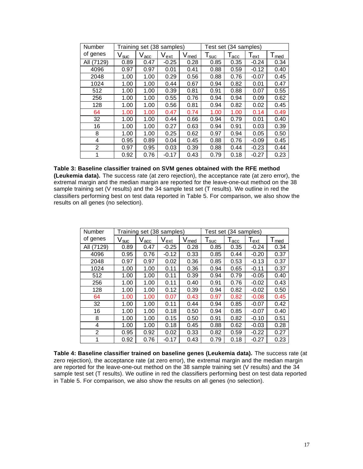| Number     |            | Training set (38 samples) |                                  |                  |                             | Test set (34 samples) |           |       |
|------------|------------|---------------------------|----------------------------------|------------------|-----------------------------|-----------------------|-----------|-------|
| of genes   | <b>SUC</b> | $V_{\rm acc}$             | $\bm{\mathsf{v}}_{\mathsf{ext}}$ | $V_{\text{med}}$ | $\mathsf{T}_{\texttt{suc}}$ | acc                   | $I_{ext}$ | I med |
| All (7129) | 0.89       | 0.47                      | $-0.25$                          | 0.28             | 0.85                        | 0.35                  | $-0.24$   | 0.34  |
| 4096       | 0.97       | 0.97                      | 0.01                             | 0.41             | 0.88                        | 0.59                  | $-0.12$   | 0.40  |
| 2048       | 1.00       | 1.00                      | 0.29                             | 0.56             | 0.88                        | 0.76                  | $-0.07$   | 0.45  |
| 1024       | 1.00       | 1.00                      | 0.44                             | 0.67             | 0.94                        | 0.82                  | 0.01      | 0.47  |
| 512        | 1.00       | 1.00                      | 0.39                             | 0.81             | 0.91                        | 0.88                  | 0.07      | 0.55  |
| 256        | 1.00       | 1.00                      | 0.55                             | 0.76             | 0.94                        | 0.94                  | 0.09      | 0.62  |
| 128        | 1.00       | 1.00                      | 0.56                             | 0.81             | 0.94                        | 0.82                  | 0.02      | 0.45  |
| 64         | 1.00       | 1.00                      | 0.47                             | 0.74             | 1.00                        | 1.00                  | 0.14      | 0.49  |
| 32         | 1.00       | 1.00                      | 0.44                             | 0.66             | 0.94                        | 0.79                  | 0.01      | 0.40  |
| 16         | 1.00       | 1.00                      | 0.27                             | 0.63             | 0.94                        | 0.91                  | 0.03      | 0.39  |
| 8          | 1.00       | 1.00                      | 0.25                             | 0.62             | 0.97                        | 0.94                  | 0.05      | 0.50  |
| 4          | 0.95       | 0.89                      | 0.04                             | 0.45             | 0.88                        | 0.76                  | $-0.09$   | 0.45  |
| 2          | 0.97       | 0.95                      | 0.03                             | 0.39             | 0.88                        | 0.44                  | $-0.23$   | 0.44  |
| 1          | 0.92       | 0.76                      | $-0.17$                          | 0.43             | 0.79                        | 0.18                  | $-0.27$   | 0.23  |

**Table 3: Baseline classifier trained on SVM genes obtained with the RFE method (Leukemia data).** The success rate (at zero rejection), the acceptance rate (at zero error), the extremal margin and the median margin are reported for the leave-one-out method on the 38 sample training set (V results) and the 34 sample test set (T results). We outline in red the classifiers performing best on test data reported in Table 5. For comparison, we also show the results on all genes (no selection).

| Number         |                                              | Training set (38 samples)   |                                       |                  |                                               | Test set (34 samples) |           |           |
|----------------|----------------------------------------------|-----------------------------|---------------------------------------|------------------|-----------------------------------------------|-----------------------|-----------|-----------|
| of genes       | $\bm{\mathsf{V}}_{\underline{\mathsf{SUC}}}$ | $\mathsf{V}_{\mathsf{acc}}$ | $\bm{\mathsf{V}}_{\bm{\mathsf{ext}}}$ | $V_{\text{med}}$ | $\mathsf{\Gamma}_{\underline{\mathsf{succ}}}$ | l acc                 | $I_{ext}$ | $T_{med}$ |
| All (7129)     | 0.89                                         | 0.47                        | $-0.25$                               | 0.28             | 0.85                                          | 0.35                  | $-0.24$   | 0.34      |
| 4096           | 0.95                                         | 0.76                        | $-0.12$                               | 0.33             | 0.85                                          | 0.44                  | $-0.20$   | 0.37      |
| 2048           | 0.97                                         | 0.97                        | 0.02                                  | 0.36             | 0.85                                          | 0.53                  | $-0.13$   | 0.37      |
| 1024           | 1.00                                         | 1.00                        | 0.11                                  | 0.36             | 0.94                                          | 0.65                  | $-0.11$   | 0.37      |
| 512            | 1.00                                         | 1.00                        | 0.11                                  | 0.39             | 0.94                                          | 0.79                  | $-0.05$   | 0.40      |
| 256            | 1.00                                         | 1.00                        | 0.11                                  | 0.40             | 0.91                                          | 0.76                  | $-0.02$   | 0.43      |
| 128            | 1.00                                         | 1.00                        | 0.12                                  | 0.39             | 0.94                                          | 0.82                  | $-0.02$   | 0.50      |
| 64             | 1.00                                         | 1.00                        | 0.07                                  | 0.43             | 0.97                                          | 0.82                  | $-0.08$   | 0.45      |
| 32             | 1.00                                         | 1.00                        | 0.11                                  | 0.44             | 0.94                                          | 0.85                  | $-0.07$   | 0.42      |
| 16             | 1.00                                         | 1.00                        | 0.18                                  | 0.50             | 0.94                                          | 0.85                  | $-0.07$   | 0.40      |
| 8              | 1.00                                         | 1.00                        | 0.15                                  | 0.50             | 0.91                                          | 0.82                  | $-0.10$   | 0.51      |
| 4              | 1.00                                         | 1.00                        | 0.18                                  | 0.45             | 0.88                                          | 0.62                  | $-0.03$   | 0.28      |
| $\overline{2}$ | 0.95                                         | 0.92                        | 0.02                                  | 0.33             | 0.82                                          | 0.59                  | $-0.22$   | 0.27      |
| 1              | 0.92                                         | 0.76                        | $-0.17$                               | 0.43             | 0.79                                          | 0.18                  | $-0.27$   | 0.23      |

**Table 4: Baseline classifier trained on baseline genes (Leukemia data).** The success rate (at zero rejection), the acceptance rate (at zero error), the extremal margin and the median margin are reported for the leave-one-out method on the 38 sample training set (V results) and the 34 sample test set (T results). We outline in red the classifiers performing best on test data reported in Table 5. For comparison, we also show the results on all genes (no selection).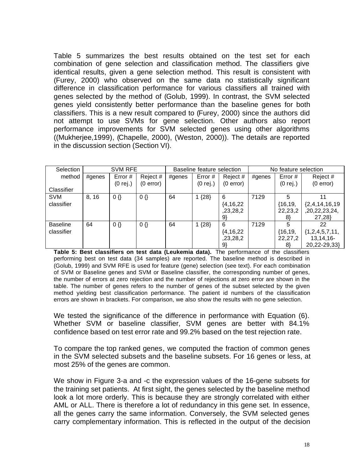Table 5 summarizes the best results obtained on the test set for each combination of gene selection and classification method. The classifiers give identical results, given a gene selection method. This result is consistent with (Furey, 2000) who observed on the same data no statistically significant difference in classification performance for various classifiers all trained with genes selected by the method of (Golub, 1999). In contrast, the SVM selected genes yield consistently better performance than the baseline genes for both classifiers. This is a new result compared to (Furey, 2000) since the authors did not attempt to use SVMs for gene selection. Other authors also report performance improvements for SVM selected genes using other algorithms ((Mukherjee,1999), (Chapelle, 2000), (Weston, 2000)). The details are reported in the discussion section (Section VI).

| <b>Selection</b> | <b>SVM RFE</b> |            |             | Baseline feature selection |            |             | No feature selection |            |                  |
|------------------|----------------|------------|-------------|----------------------------|------------|-------------|----------------------|------------|------------------|
| method           | #genes         | Error #    | Reject #    | #genes                     | Error #    | Reject #    | #genes               | Error $#$  | Reject #         |
|                  |                | $(0$ rej.) | $(0$ error) |                            | $(0$ rej.) | $(0$ error) |                      | $(0$ rej.) | $(0$ error)      |
| Classifier       |                |            |             |                            |            |             |                      |            |                  |
| <b>SVM</b>       | 8, 16          | $0 \{ \}$  | $0 \{ \}$   | 64                         | ${28}$     | 6           | 7129                 | 5          |                  |
| classifier       |                |            |             |                            |            | ${4,16,22}$ |                      | ${16, 19,$ | ${2,4,14,16,19}$ |
|                  |                |            |             |                            |            | ,23,28,2    |                      | 22,23,2    | ,20,22,23,24,    |
|                  |                |            |             |                            |            | 9}          |                      | 8}         | 27,28            |
| <b>Baseline</b>  | 64             | $0 \{ \}$  | $0 \{ \}$   | 64                         | $1 {28}$   | 6           | 7129                 | 5          | 22               |
| classifier       |                |            |             |                            |            | ${4,16,22}$ |                      | ${16, 19,$ | ${1,2,4,5,7,11}$ |
|                  |                |            |             |                            |            | ,23,28,2    |                      | 22,27,2    | $13, 14, 16 -$   |
|                  |                |            |             |                            |            | 9}          |                      | 8}         | 20,22-29,33}     |

**Table 5: Best classifiers on test data (Leukemia data).** The performance of the classifiers performing best on test data (34 samples) are reported. The baseline method is described in (Golub, 1999) and SVM RFE is used for feature (gene) selection (see text). For each combination of SVM or Baseline genes and SVM or Baseline classifier, the corresponding number of genes, the number of errors at zero rejection and the number of rejections at zero error are shown in the table. The number of genes refers to the number of genes of the subset selected by the given method yielding best classification performance. The patient id numbers of the classification errors are shown in brackets. For comparison, we also show the results with no gene selection.

We tested the significance of the difference in performance with Equation (6). Whether SVM or baseline classifier, SVM genes are better with 84.1% confidence based on test error rate and 99.2% based on the test rejection rate.

To compare the top ranked genes, we computed the fraction of common genes in the SVM selected subsets and the baseline subsets. For 16 genes or less, at most 25% of the genes are common.

We show in Figure 3-a and -c the expression values of the 16-gene subsets for the training set patients. At first sight, the genes selected by the baseline method look a lot more orderly. This is because they are strongly correlated with either AML or ALL. There is therefore a lot of redundancy in this gene set. In essence, all the genes carry the same information. Conversely, the SVM selected genes carry complementary information. This is reflected in the output of the decision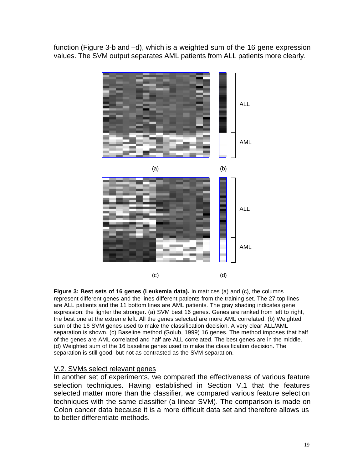function (Figure 3-b and –d), which is a weighted sum of the 16 gene expression values. The SVM output separates AML patients from ALL patients more clearly.



**Figure 3: Best sets of 16 genes (Leukemia data).** In matrices (a) and (c), the columns represent different genes and the lines different patients from the training set. The 27 top lines are ALL patients and the 11 bottom lines are AML patients. The gray shading indicates gene expression: the lighter the stronger. (a) SVM best 16 genes. Genes are ranked from left to right, the best one at the extreme left. All the genes selected are more AML correlated. (b) Weighted sum of the 16 SVM genes used to make the classification decision. A very clear ALL/AML separation is shown. (c) Baseline method (Golub, 1999) 16 genes. The method imposes that half of the genes are AML correlated and half are ALL correlated. The best genes are in the middle. (d) Weighted sum of the 16 baseline genes used to make the classification decision. The separation is still good, but not as contrasted as the SVM separation.

#### V.2. SVMs select relevant genes

In another set of experiments, we compared the effectiveness of various feature selection techniques. Having established in Section V.1 that the features selected matter more than the classifier, we compared various feature selection techniques with the same classifier (a linear SVM). The comparison is made on Colon cancer data because it is a more difficult data set and therefore allows us to better differentiate methods.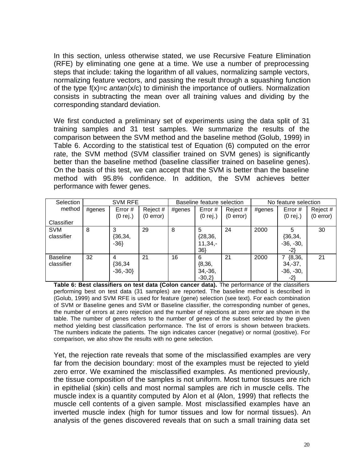In this section, unless otherwise stated, we use Recursive Feature Elimination (RFE) by eliminating one gene at a time. We use a number of preprocessing steps that include: taking the logarithm of all values, normalizing sample vectors, normalizing feature vectors, and passing the result through a squashing function of the type f(x)=c *antan*(x/c) to diminish the importance of outliers. Normalization consists in subtracting the mean over all training values and dividing by the corresponding standard deviation.

We first conducted a preliminary set of experiments using the data split of 31 training samples and 31 test samples. We summarize the results of the comparison between the SVM method and the baseline method (Golub, 1999) in Table 6. According to the statistical test of Equation (6) computed on the error rate, the SVM method (SVM classifier trained on SVM genes) is significantly better than the baseline method (baseline classifier trained on baseline genes). On the basis of this test, we can accept that the SVM is better than the baseline method with 95.8% confidence. In addition, the SVM achieves better performance with fewer genes.

| Selection       |        | <b>SVM RFE</b> |             |        | Baseline feature selection |             |        | No feature selection |             |
|-----------------|--------|----------------|-------------|--------|----------------------------|-------------|--------|----------------------|-------------|
| method          | #genes | Error #        | Reject #    | #genes | Error #                    | Reject #    | #genes | Error $#$            | Reject #    |
|                 |        | $(0$ rej.)     | $(0$ error) |        | $(0$ rej.)                 | $(0$ error) |        | $(0$ rej.)           | $(0$ error) |
| Classifier      |        |                |             |        |                            |             |        |                      |             |
| <b>SVM</b>      | 8      | 3              | 29          | 8      | 5                          | 24          | 2000   | 5                    | 30          |
| classifier      |        | ${36,34}$      |             |        | ${28,36,$                  |             |        | ${36,34,$            |             |
|                 |        | $-36$          |             |        | $11,34,-$                  |             |        | $-36, -30,$          |             |
|                 |        |                |             |        | 36                         |             |        | -2}                  |             |
| <b>Baseline</b> | 32     | 4              | 21          | 16     | 6                          | 21          | 2000   | ${8,36,$<br>7        | 21          |
| classifier      |        | ${36,34}$      |             |        | ${8,36,$                   |             |        | $34, -37,$           |             |
|                 |        | $-36,-30$      |             |        | $34, -36,$                 |             |        | $-36, -30,$          |             |
|                 |        |                |             |        | $-30,2$                    |             |        | -2}                  |             |

**Table 6: Best classifiers on test data (Colon cancer data).** The performance of the classifiers performing best on test data (31 samples) are reported. The baseline method is described in (Golub, 1999) and SVM RFE is used for feature (gene) selection (see text). For each combination of SVM or Baseline genes and SVM or Baseline classifier, the corresponding number of genes, the number of errors at zero rejection and the number of rejections at zero error are shown in the table. The number of genes refers to the number of genes of the subset selected by the given method yielding best classification performance. The list of errors is shown between brackets. The numbers indicate the patients. The sign indicates cancer (negative) or normal (positive). For comparison, we also show the results with no gene selection.

Yet, the rejection rate reveals that some of the misclassified examples are very far from the decision boundary: most of the examples must be rejected to yield zero error. We examined the misclassified examples. As mentioned previously, the tissue composition of the samples is not uniform. Most tumor tissues are rich in epithelial (skin) cells and most normal samples are rich in muscle cells. The muscle index is a quantity computed by Alon et al (Alon, 1999) that reflects the muscle cell contents of a given sample. Most misclassified examples have an inverted muscle index (high for tumor tissues and low for normal tissues). An analysis of the genes discovered reveals that on such a small training data set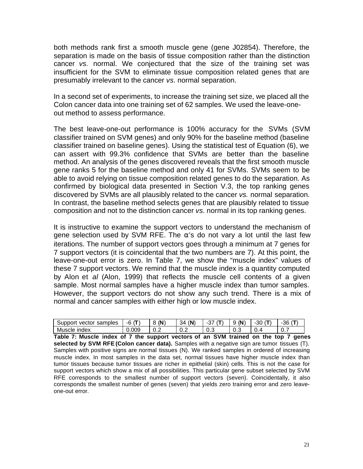both methods rank first a smooth muscle gene (gene J02854). Therefore, the separation is made on the basis of tissue composition rather than the distinction cancer *vs.* normal. We conjectured that the size of the training set was insufficient for the SVM to eliminate tissue composition related genes that are presumably irrelevant to the cancer *vs.* normal separation.

In a second set of experiments, to increase the training set size, we placed all the Colon cancer data into one training set of 62 samples. We used the leave-oneout method to assess performance.

The best leave-one-out performance is 100% accuracy for the SVMs (SVM classifier trained on SVM genes) and only 90% for the baseline method (baseline classifier trained on baseline genes). Using the statistical test of Equation (6), we can assert with 99.3% confidence that SVMs are better than the baseline method. An analysis of the genes discovered reveals that the first smooth muscle gene ranks 5 for the baseline method and only 41 for SVMs. SVMs seem to be able to avoid relying on tissue composition related genes to do the separation. As confirmed by biological data presented in Section V.3, the top ranking genes discovered by SVMs are all plausibly related to the cancer *vs.* normal separation. In contrast, the baseline method selects genes that are plausibly related to tissue composition and not to the distinction cancer *vs.* normal in its top ranking genes.

It is instructive to examine the support vectors to understand the mechanism of gene selection used by SVM RFE. The  $\alpha$ 's do not vary a lot until the last few iterations. The number of support vectors goes through a minimum at 7 genes for 7 support vectors (it is coincidental that the two numbers are 7). At this point, the leave-one-out error is zero. In Table 7, we show the "muscle index" values of these 7 support vectors. We remind that the muscle index is a quantity computed by Alon et *al* (Alon, 1999) that reflects the muscle cell contents of a given sample. Most normal samples have a higher muscle index than tumor samples. However, the support vectors do not show any such trend. There is a mix of normal and cancer samples with either high or low muscle index.

| samples<br>Support<br>vector | -r<br>$\overline{\phantom{a}}$ | (N) | (N)<br>34 | ~-<br>-<br>ັ | (N) | חכי<br>IJΩ | $-36$ |
|------------------------------|--------------------------------|-----|-----------|--------------|-----|------------|-------|
| Muscle<br>index              | 0.009                          | ◡.∠ | ◡.▵       | ∪.∪          | v.J | ◡.         | ◡.,   |

**Table 7: Muscle index of 7 the support vectors of an SVM trained on the top 7 genes selected by SVM RFE (Colon cancer data).** Samples with a negative sign are tumor tissues (T). Samples with positive signs are normal tissues (N). We ranked samples in ordered of increasing muscle index. In most samples in the data set, normal tissues have higher muscle index than tumor tissues because tumor tissues are richer in epithelial (skin) cells. This is not the case for support vectors which show a mix of all possibilities. This particular gene subset selected by SVM RFE corresponds to the smallest number of support vectors (seven). Coincidentally, it also corresponds the smallest number of genes (seven) that yields zero training error and zero leaveone-out error.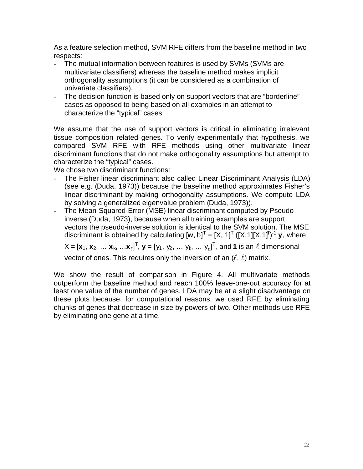As a feature selection method, SVM RFE differs from the baseline method in two respects:

- The mutual information between features is used by SVMs (SVMs are multivariate classifiers) whereas the baseline method makes implicit orthogonality assumptions (it can be considered as a combination of univariate classifiers).
- The decision function is based only on support vectors that are "borderline" cases as opposed to being based on all examples in an attempt to characterize the "typical" cases.

We assume that the use of support vectors is critical in eliminating irrelevant tissue composition related genes. To verify experimentally that hypothesis, we compared SVM RFE with RFE methods using other multivariate linear discriminant functions that do not make orthogonality assumptions but attempt to characterize the "typical" cases.

We chose two discriminant functions:

- The Fisher linear discriminant also called Linear Discriminant Analysis (LDA) (see e.g. (Duda, 1973)) because the baseline method approximates Fisher's linear discriminant by making orthogonality assumptions. We compute LDA by solving a generalized eigenvalue problem (Duda, 1973)).
- The Mean-Squared-Error (MSE) linear discriminant computed by Pseudoinverse (Duda, 1973), because when all training examples are support vectors the pseudo-inverse solution is identical to the SVM solution. The MSE discriminant is obtained by calculating  $[\mathbf{w}, \mathbf{b}]^\top = [X, \, 1]^\top \, ([X, 1][X, 1]^\top)^\top$  **y**, where

 $X = [\mathbf{x}_1, \mathbf{x}_2, \dots \mathbf{x}_k, \dots \mathbf{x}_\ell]^T$ ,  $\mathbf{y} = [y_1, y_2, \dots y_k, \dots y_\ell]^T$ , and **1** is an  $\ell$  dimensional vector of ones. This requires only the inversion of an  $(\ell, \ell)$  matrix.

We show the result of comparison in Figure 4. All multivariate methods outperform the baseline method and reach 100% leave-one-out accuracy for at least one value of the number of genes. LDA may be at a slight disadvantage on these plots because, for computational reasons, we used RFE by eliminating chunks of genes that decrease in size by powers of two. Other methods use RFE by eliminating one gene at a time.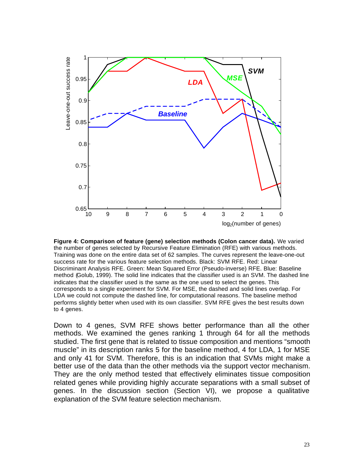

**Figure 4: Comparison of feature (gene) selection methods (Colon cancer data).** We varied the number of genes selected by Recursive Feature Elimination (RFE) with various methods. Training was done on the entire data set of 62 samples. The curves represent the leave-one-out success rate for the various feature selection methods. Black: SVM RFE. Red: Linear Discriminant Analysis RFE. Green: Mean Squared Error (Pseudo-inverse) RFE. Blue: Baseline method (Golub, 1999). The solid line indicates that the classifier used is an SVM. The dashed line indicates that the classifier used is the same as the one used to select the genes. This corresponds to a single experiment for SVM. For MSE, the dashed and solid lines overlap. For LDA we could not compute the dashed line, for computational reasons. The baseline method performs slightly better when used with its own classifier. SVM RFE gives the best results down to 4 genes.

Down to 4 genes, SVM RFE shows better performance than all the other methods. We examined the genes ranking 1 through 64 for all the methods studied. The first gene that is related to tissue composition and mentions "smooth muscle" in its description ranks 5 for the baseline method, 4 for LDA, 1 for MSE and only 41 for SVM. Therefore, this is an indication that SVMs might make a better use of the data than the other methods via the support vector mechanism. They are the only method tested that effectively eliminates tissue composition related genes while providing highly accurate separations with a small subset of genes. In the discussion section (Section VI), we propose a qualitative explanation of the SVM feature selection mechanism.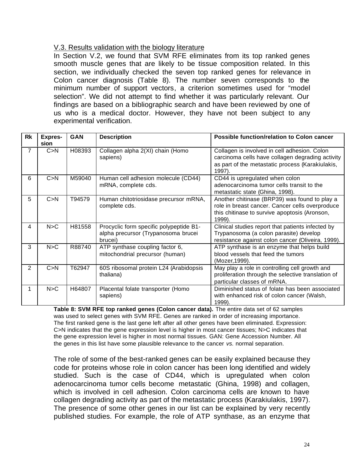## V.3. Results validation with the biology literature

In Section V.2, we found that SVM RFE eliminates from its top ranked genes smooth muscle genes that are likely to be tissue composition related. In this section, we individually checked the seven top ranked genes for relevance in Colon cancer diagnosis (Table 8). The number seven corresponds to the minimum number of support vectors, a criterion sometimes used for "model selection". We did not attempt to find whether it was particularly relevant. Our findings are based on a bibliographic search and have been reviewed by one of us who is a medical doctor. However, they have not been subject to any experimental verification.

| Rk             | <b>Expres-</b><br>sion | <b>GAN</b> | <b>Description</b>                                                                        | <b>Possible function/relation to Colon cancer</b>                                                                                                             |
|----------------|------------------------|------------|-------------------------------------------------------------------------------------------|---------------------------------------------------------------------------------------------------------------------------------------------------------------|
| 7              | C> N                   | H08393     | Collagen alpha 2(XI) chain (Homo<br>sapiens)                                              | Collagen is involved in cell adhesion. Colon<br>carcinoma cells have collagen degrading activity<br>as part of the metastatic process (Karakiulakis,<br>1997) |
| 6              | C > N                  | M59040     | Human cell adhesion molecule (CD44)<br>mRNA, complete cds.                                | CD44 is upregulated when colon<br>adenocarcinoma tumor cells transit to the<br>metastatic state (Ghina, 1998).                                                |
| 5              | C> N                   | T94579     | Human chitotriosidase precursor mRNA,<br>complete cds.                                    | Another chitinase (BRP39) was found to play a<br>role in breast cancer. Cancer cells overproduce<br>this chitinase to survive apoptosis (Aronson,<br>1999).   |
| 4              | N > C                  | H81558     | Procyclic form specific polypeptide B1-<br>alpha precursor (Trypanosoma brucei<br>brucei) | Clinical studies report that patients infected by<br>Trypanosoma (a colon parasite) develop<br>resistance against colon cancer (Oliveira, 1999).              |
| 3              | N > C                  | R88740     | ATP synthase coupling factor 6,<br>mitochondrial precursor (human)                        | ATP synthase is an enzyme that helps build<br>blood vessels that feed the tumors<br>(Mozer, 1999).                                                            |
| $\overline{2}$ | C > N                  | T62947     | 60S ribosomal protein L24 (Arabidopsis<br>thaliana)                                       | May play a role in controlling cell growth and<br>proliferation through the selective translation of<br>particular classes of mRNA.                           |
|                | N > C                  | H64807     | Placental folate transporter (Homo<br>sapiens)                                            | Diminished status of folate has been associated<br>with enhanced risk of colon cancer (Walsh,<br>1999).                                                       |

**Table 8: SVM RFE top ranked genes (Colon cancer data).** The entire data set of 62 samples was used to select genes with SVM RFE. Genes are ranked in order of increasing importance. The first ranked gene is the last gene left after all other genes have been eliminated. Expression: C>N indicates that the gene expression level is higher in most cancer tissues; N>C indicates that the gene expression level is higher in most normal tissues. GAN: Gene Accession Number. All the genes in this list have some plausible relevance to the cancer *vs.* normal separation.

The role of some of the best-ranked genes can be easily explained because they code for proteins whose role in colon cancer has been long identified and widely studied. Such is the case of CD44, which is upregulated when colon adenocarcinoma tumor cells become metastatic (Ghina, 1998) and collagen, which is involved in cell adhesion. Colon carcinoma cells are known to have collagen degrading activity as part of the metastatic process (Karakiulakis, 1997). The presence of some other genes in our list can be explained by very recently published studies. For example, the role of ATP synthase, as an enzyme that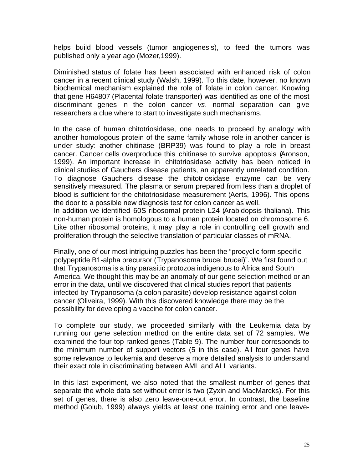helps build blood vessels (tumor angiogenesis), to feed the tumors was published only a year ago (Mozer,1999).

Diminished status of folate has been associated with enhanced risk of colon cancer in a recent clinical study (Walsh, 1999). To this date, however, no known biochemical mechanism explained the role of folate in colon cancer. Knowing that gene H64807 (Placental folate transporter) was identified as one of the most discriminant genes in the colon cancer *vs*. normal separation can give researchers a clue where to start to investigate such mechanisms.

In the case of human chitotriosidase, one needs to proceed by analogy with another homologous protein of the same family whose role in another cancer is under study: another chitinase (BRP39) was found to play a role in breast cancer. Cancer cells overproduce this chitinase to survive apoptosis (Aronson, 1999). An important increase in chitotriosidase activity has been noticed in clinical studies of Gauchers disease patients, an apparently unrelated condition. To diagnose Gauchers disease the chitotriosidase enzyme can be very sensitively measured. The plasma or serum prepared from less than a droplet of blood is sufficient for the chitotriosidase measurement (Aerts, 1996). This opens the door to a possible new diagnosis test for colon cancer as well.

In addition we identified 60S ribosomal protein L24 (Arabidopsis thaliana). This non-human protein is homologous to a human protein located on chromosome 6. Like other ribosomal proteins, it may play a role in controlling cell growth and proliferation through the selective translation of particular classes of mRNA.

Finally, one of our most intriguing puzzles has been the "procyclic form specific polypeptide B1-alpha precursor (Trypanosoma brucei brucei)". We first found out that Trypanosoma is a tiny parasitic protozoa indigenous to Africa and South America. We thought this may be an anomaly of our gene selection method or an error in the data, until we discovered that clinical studies report that patients infected by Trypanosoma (a colon parasite) develop resistance against colon cancer (Oliveira, 1999). With this discovered knowledge there may be the possibility for developing a vaccine for colon cancer.

To complete our study, we proceeded similarly with the Leukemia data by running our gene selection method on the entire data set of 72 samples. We examined the four top ranked genes (Table 9). The number four corresponds to the minimum number of support vectors (5 in this case). All four genes have some relevance to leukemia and deserve a more detailed analysis to understand their exact role in discriminating between AML and ALL variants.

In this last experiment, we also noted that the smallest number of genes that separate the whole data set without error is two (Zyxin and MacMarcks). For this set of genes, there is also zero leave-one-out error. In contrast, the baseline method (Golub, 1999) always yields at least one training error and one leave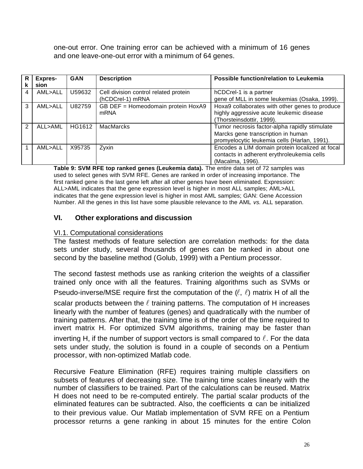one-out error. One training error can be achieved with a minimum of 16 genes and one leave-one-out error with a minimum of 64 genes.

| R              | <b>Expres-</b> | <b>GAN</b> | <b>Description</b>                         | <b>Possible function/relation to Leukemia</b>                                                                                       |
|----------------|----------------|------------|--------------------------------------------|-------------------------------------------------------------------------------------------------------------------------------------|
| k              | sion           |            |                                            |                                                                                                                                     |
| 4              | AML>ALL        | U59632     | Cell division control related protein      | hCDCrel-1 is a partner                                                                                                              |
|                |                |            | (hCDCrel-1) mRNA                           | gene of MLL in some leukemias (Osaka, 1999).                                                                                        |
| 3              | AML>ALL        | U82759     | GB DEF = Homeodomain protein HoxA9<br>mRNA | Hoxa9 collaborates with other genes to produce<br>highly aggressive acute leukemic disease<br>(Thorsteinsdottir, 1999).             |
| $\mathfrak{p}$ | ALL>AML        | HG1612     | <b>MacMarcks</b>                           | Tumor necrosis factor-alpha rapidly stimulate<br>Marcks gene transcription in human<br>promyelocytic leukemia cells (Harlan, 1991). |
|                | AML>ALL        | X95735     | Zyxin                                      | Encodes a LIM domain protein localized at focal<br>contacts in adherent erythroleukemia cells<br>(Macalma, 1996).                   |

**Table 9: SVM RFE top ranked genes (Leukemia data).** The entire data set of 72 samples was used to select genes with SVM RFE. Genes are ranked in order of increasing importance. The first ranked gene is the last gene left after all other genes have been eliminated. Expression: ALL>AML indicates that the gene expression level is higher in most ALL samples; AML>ALL indicates that the gene expression level is higher in most AML samples; GAN: Gene Accession Number. All the genes in this list have some plausible relevance to the AML *vs.* ALL separation.

## **VI. Other explorations and discussion**

## VI.1. Computational considerations

The fastest methods of feature selection are correlation methods: for the data sets under study, several thousands of genes can be ranked in about one second by the baseline method (Golub, 1999) with a Pentium processor.

The second fastest methods use as ranking criterion the weights of a classifier trained only once with all the features. Training algorithms such as SVMs or Pseudo-inverse/MSE require first the computation of the  $(\ell, \ell)$  matrix H of all the scalar products between the  $\ell$  training patterns. The computation of H increases linearly with the number of features (genes) and quadratically with the number of training patterns. After that, the training time is of the order of the time required to invert matrix H. For optimized SVM algorithms, training may be faster than inverting H, if the number of support vectors is small compared to  $\ell$ . For the data sets under study, the solution is found in a couple of seconds on a Pentium processor, with non-optimized Matlab code.

Recursive Feature Elimination (RFE) requires training multiple classifiers on subsets of features of decreasing size. The training time scales linearly with the number of classifiers to be trained. Part of the calculations can be reused. Matrix H does not need to be re-computed entirely. The partial scalar products of the eliminated features can be subtracted. Also, the coefficients  $\alpha$  can be initialized to their previous value. Our Matlab implementation of SVM RFE on a Pentium processor returns a gene ranking in about 15 minutes for the entire Colon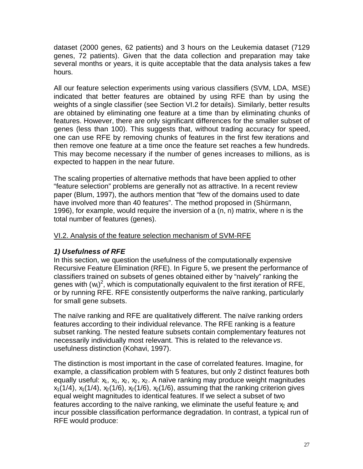dataset (2000 genes, 62 patients) and 3 hours on the Leukemia dataset (7129 genes, 72 patients). Given that the data collection and preparation may take several months or years, it is quite acceptable that the data analysis takes a few hours.

All our feature selection experiments using various classifiers (SVM, LDA, MSE) indicated that better features are obtained by using RFE than by using the weights of a single classifier (see Section VI.2 for details). Similarly, better results are obtained by eliminating one feature at a time than by eliminating chunks of features. However, there are only significant differences for the smaller subset of genes (less than 100). This suggests that, without trading accuracy for speed, one can use RFE by removing chunks of features in the first few iterations and then remove one feature at a time once the feature set reaches a few hundreds. This may become necessary if the number of genes increases to millions, as is expected to happen in the near future.

The scaling properties of alternative methods that have been applied to other "feature selection" problems are generally not as attractive. In a recent review paper (Blum, 1997), the authors mention that "few of the domains used to date have involved more than 40 features". The method proposed in (Shürmann, 1996), for example, would require the inversion of a (n, n) matrix, where n is the total number of features (genes).

#### VI.2. Analysis of the feature selection mechanism of SVM-RFE

## *1) Usefulness of RFE*

In this section, we question the usefulness of the computationally expensive Recursive Feature Elimination (RFE). In Figure 5, we present the performance of classifiers trained on subsets of genes obtained either by "naively" ranking the genes with  $(w_i)^2$ , which is computationally equivalent to the first iteration of RFE, or by running RFE. RFE consistently outperforms the naïve ranking, particularly for small gene subsets.

The naïve ranking and RFE are qualitatively different. The naïve ranking orders features according to their individual relevance. The RFE ranking is a feature subset ranking. The nested feature subsets contain complementary features not necessarily individually most relevant. This is related to the relevance *vs*. usefulness distinction (Kohavi, 1997).

The distinction is most important in the case of correlated features. Imagine, for example, a classification problem with 5 features, but only 2 distinct features both equally useful:  $x_1$ ,  $x_2$ ,  $x_2$ ,  $x_2$ . A naïve ranking may produce weight magnitudes  $x_1(1/4)$ ,  $x_1(1/4)$ ,  $x_2(1/6)$ ,  $x_2(1/6)$ ,  $x_2(1/6)$ , assuming that the ranking criterion gives equal weight magnitudes to identical features. If we select a subset of two features according to the naïve ranking, we eliminate the useful feature  $x_2$  and incur possible classification performance degradation. In contrast, a typical run of RFE would produce: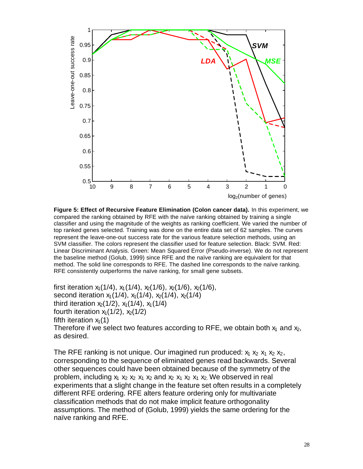

**Figure 5: Effect of Recursive Feature Elimination (Colon cancer data).** In this experiment, we compared the ranking obtained by RFE with the naïve ranking obtained by training a single classifier and using the magnitude of the weights as ranking coefficient. We varied the number of top ranked genes selected. Training was done on the entire data set of 62 samples. The curves represent the leave-one-out success rate for the various feature selection methods, using an SVM classifier. The colors represent the classifier used for feature selection. Black: SVM. Red: Linear Discriminant Analysis. Green: Mean Squared Error (Pseudo-inverse). We do not represent the baseline method (Golub, 1999) since RFE and the naïve ranking are equivalent for that method. The solid line corresponds to RFE. The dashed line corresponds to the naïve ranking. RFE consistently outperforms the naïve ranking, for small gene subsets.

first iteration  $x_1(1/4)$ ,  $x_1(1/4)$ ,  $x_2(1/6)$ ,  $x_2(1/6)$ ,  $x_2(1/6)$ , second iteration  $x_1(1/4)$ ,  $x_1(1/4)$ ,  $x_2(1/4)$ ,  $x_2(1/4)$ third iteration  $x_2(1/2)$ ,  $x_1(1/4)$ ,  $x_1(1/4)$ fourth iteration  $x_1(1/2)$ ,  $x_2(1/2)$ fifth iteration  $x_1(1)$ Therefore if we select two features according to RFE, we obtain both  $x_1$  and  $x_2$ , as desired.

The RFE ranking is not unique. Our imagined run produced:  $x_1$   $x_2$   $x_1$   $x_2$   $x_2$ , corresponding to the sequence of eliminated genes read backwards. Several other sequences could have been obtained because of the symmetry of the problem, including  $x_1$   $x_2$   $x_2$   $x_1$   $x_2$  and  $x_2$   $x_1$   $x_2$   $x_1$   $x_2$ . We observed in real experiments that a slight change in the feature set often results in a completely different RFE ordering. RFE alters feature ordering only for multivariate classification methods that do not make implicit feature orthogonality assumptions. The method of (Golub, 1999) yields the same ordering for the naïve ranking and RFE.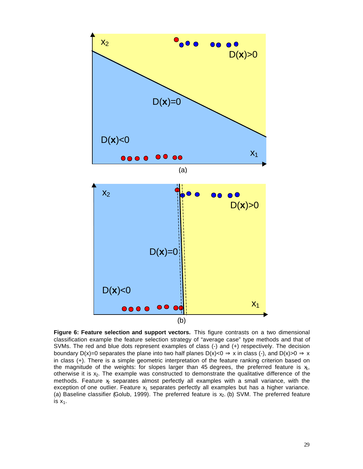

**Figure 6: Feature selection and support vectors.** This figure contrasts on a two dimensional classification example the feature selection strategy of "average case" type methods and that of SVMs. The red and blue dots represent examples of class (-) and (+) respectively. The decision boundary D(x)=0 separates the plane into two half planes  $D(x) < 0 \Rightarrow x$  in class (-), and  $D(x) > 0 \Rightarrow x$ in class (+). There is a simple geometric interpretation of the feature ranking criterion based on the magnitude of the weights: for slopes larger than 45 degrees, the preferred feature is  $x_1$ , otherwise it is  $x_2$ . The example was constructed to demonstrate the qualitative difference of the methods. Feature  $x<sub>2</sub>$  separates almost perfectly all examples with a small variance, with the exception of one outlier. Feature  $x_1$  separates perfectly all examples but has a higher variance. (a) Baseline classifier (Golub, 1999). The preferred feature is  $x_2$ . (b) SVM. The preferred feature is  $x_1$ .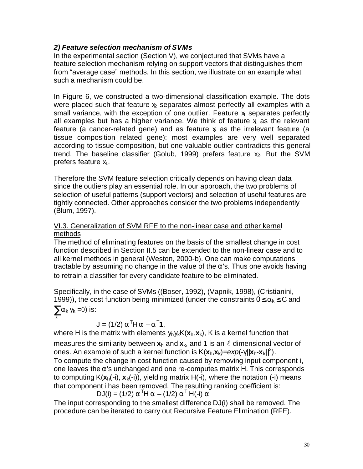#### *2) Feature selection mechanism of SVMs*

In the experimental section (Section V), we conjectured that SVMs have a feature selection mechanism relying on support vectors that distinguishes them from "average case" methods. In this section, we illustrate on an example what such a mechanism could be.

In Figure 6, we constructed a two-dimensional classification example. The dots were placed such that feature  $x$  separates almost perfectly all examples with a small variance, with the exception of one outlier. Feature  $x_i$  separates perfectly all examples but has a higher variance. We think of feature  $x$  as the relevant feature (a cancer-related gene) and as feature  $x<sub>2</sub>$  as the irrelevant feature (a tissue composition related gene): most examples are very well separated according to tissue composition, but one valuable outlier contradicts this general trend. The baseline classifier (Golub, 1999) prefers feature  $x<sub>2</sub>$ . But the SVM prefers feature  $x_1$ .

Therefore the SVM feature selection critically depends on having clean data since the outliers play an essential role. In our approach, the two problems of selection of useful patterns (support vectors) and selection of useful features are tightly connected. Other approaches consider the two problems independently (Blum, 1997).

#### VI.3. Generalization of SVM RFE to the non-linear case and other kernel methods

The method of eliminating features on the basis of the smallest change in cost function described in Section II.5 can be extended to the non-linear case and to all kernel methods in general (Weston, 2000-b). One can make computations tractable by assuming no change in the value of the  $\alpha$ 's. Thus one avoids having to retrain a classifier for every candidate feature to be eliminated.

Specifically, in the case of SVMs ((Boser, 1992), (Vapnik, 1998), (Cristianini, 1999)), the cost function being minimized (under the constraints  $0 \le \alpha_k \le C$  and  $\sum \alpha_k y_k = 0$ ) is:

*k*

 $J = (1/2) a<sup>T</sup>H a - a<sup>T</sup>1,$ 

where H is the matrix with elements  $y_h y_k K(\mathbf{x}_h, \mathbf{x}_k)$ , K is a kernel function that measures the similarity between  $x_h$  and  $x_k$ , and 1 is an  $\ell$  dimensional vector of ones. An example of such a kernel function is K(**x**h,**x**k)=*exp*(-γ||**x**h-**x**k||<sup>2</sup> ). To compute the change in cost function caused by removing input component i,

one leaves the  $\alpha$ 's unchanged and one re-computes matrix H. This corresponds to computing  $K(\mathbf{x}_h(-i), \mathbf{x}_k(-i))$ , yielding matrix  $H(-i)$ , where the notation  $(-i)$  means that component i has been removed. The resulting ranking coefficient is: T

$$
DJ(i) = (1/2) \mathbf{a}^\top H \mathbf{a} - (1/2) \mathbf{a}^\top H(-i) \mathbf{a}
$$

The input corresponding to the smallest difference DJ(i) shall be removed. The procedure can be iterated to carry out Recursive Feature Elimination (RFE).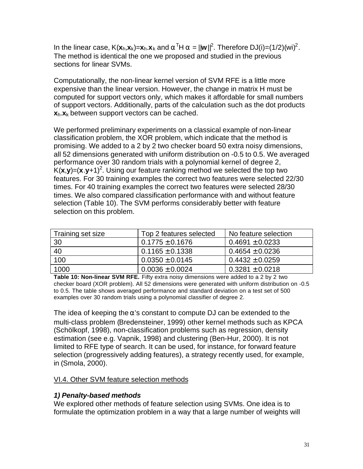In the linear case,  $K(\mathbf{x}_h, \mathbf{x}_k) = \mathbf{x}_h \cdot \mathbf{x}_k$  and  $\mathbf{a}^T H \mathbf{a} = ||\mathbf{w}||^2$ . Therefore DJ(i)=(1/2)(wi)<sup>2</sup>. The method is identical the one we proposed and studied in the previous sections for linear SVMs.

Computationally, the non-linear kernel version of SVM RFE is a little more expensive than the linear version. However, the change in matrix H must be computed for support vectors only, which makes it affordable for small numbers of support vectors. Additionally, parts of the calculation such as the dot products **x**<sub>h</sub>.**x**<sub>k</sub> between support vectors can be cached.

We performed preliminary experiments on a classical example of non-linear classification problem, the XOR problem, which indicate that the method is promising. We added to a 2 by 2 two checker board 50 extra noisy dimensions, all 52 dimensions generated with uniform distribution on -0.5 to 0.5. We averaged performance over 30 random trials with a polynomial kernel of degree 2, K(x,y)=(x.y+1)<sup>2</sup>. Using our feature ranking method we selected the top two features. For 30 training examples the correct two features were selected 22/30 times. For 40 training examples the correct two features were selected 28/30 times. We also compared classification performance with and without feature selection (Table 10). The SVM performs considerably better with feature selection on this problem.

| Training set size | Top 2 features selected | No feature selection |
|-------------------|-------------------------|----------------------|
| -30               | $0.1775 \pm 0.1676$     | $0.4691 \pm 0.0233$  |
| 40                | $0.1165 \pm 0.1338$     | $0.4654 \pm 0.0236$  |
| 100               | $0.0350 \pm 0.0145$     | $0.4432 \pm 0.0259$  |
| 1000              | $0.0036 \pm 0.0024$     | $0.3281 \pm 0.0218$  |

**Table 10: Non-linear SVM RFE.** Fifty extra noisy dimensions were added to a 2 by 2 two checker board (XOR problem). All 52 dimensions were generated with uniform distribution on -0.5 to 0.5. The table shows averaged performance and standard deviation on a test set of 500 examples over 30 random trials using a polynomial classifier of degree 2.

The idea of keeping the  $\alpha$ 's constant to compute DJ can be extended to the multi-class problem (Bredensteiner, 1999) other kernel methods such as KPCA (Schölkopf, 1998), non-classification problems such as regression, density estimation (see e.g. Vapnik, 1998) and clustering (Ben-Hur, 2000). It is not limited to RFE type of search. It can be used, for instance, for forward feature selection (progressively adding features), a strategy recently used, for example, in (Smola, 2000).

## VI.4. Other SVM feature selection methods

## *1) Penalty-based methods*

We explored other methods of feature selection using SVMs. One idea is to formulate the optimization problem in a way that a large number of weights will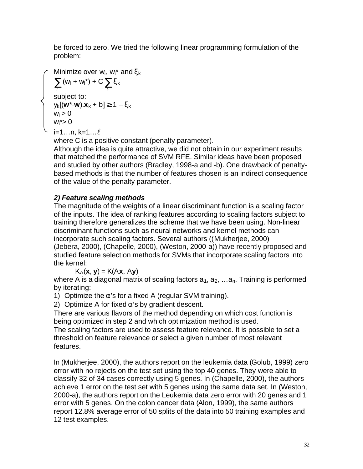be forced to zero. We tried the following linear programming formulation of the problem:

```
Minimize over w_i, w_i^* and \xi_k\sum_{i} (w<sub>i</sub> + w<sub>i</sub><sup>*</sup>) + C \sum_{k}ξk
subject to:
y_k[(<b>w</b><sup>*</b> - <b>w</b>).x<sub>k</sub> + b] ≥ 1 – ξ<sub>k</sub>
w_i > 0w_i^* > 0
```

```
i=1...n, k=1...\ell
```
where C is a positive constant (penalty parameter).

Although the idea is quite attractive, we did not obtain in our experiment results that matched the performance of SVM RFE. Similar ideas have been proposed and studied by other authors (Bradley, 1998-a and -b). One drawback of penaltybased methods is that the number of features chosen is an indirect consequence of the value of the penalty parameter.

# *2) Feature scaling methods*

The magnitude of the weights of a linear discriminant function is a scaling factor of the inputs. The idea of ranking features according to scaling factors subject to training therefore generalizes the scheme that we have been using. Non-linear discriminant functions such as neural networks and kernel methods can incorporate such scaling factors. Several authors ((Mukherjee, 2000) (Jebera, 2000), (Chapelle, 2000), (Weston, 2000-a)) have recently proposed and studied feature selection methods for SVMs that incorporate scaling factors into the kernel:

 $K_A(\mathbf{x}, \mathbf{y}) = K(A\mathbf{x}, A\mathbf{y})$ 

where A is a diagonal matrix of scaling factors  $a_1, a_2, ... a_n$ . Training is performed by iterating:

1) Optimize the  $\alpha$ 's for a fixed A (regular SVM training).

2) Optimize A for fixed  $\alpha$ 's by gradient descent.

There are various flavors of the method depending on which cost function is being optimized in step 2 and which optimization method is used.

The scaling factors are used to assess feature relevance. It is possible to set a threshold on feature relevance or select a given number of most relevant features.

In (Mukherjee, 2000), the authors report on the leukemia data (Golub, 1999) zero error with no rejects on the test set using the top 40 genes. They were able to classify 32 of 34 cases correctly using 5 genes. In (Chapelle, 2000), the authors achieve 1 error on the test set with 5 genes using the same data set. In (Weston, 2000-a), the authors report on the Leukemia data zero error with 20 genes and 1 error with 5 genes. On the colon cancer data (Alon, 1999), the same authors report 12.8% average error of 50 splits of the data into 50 training examples and 12 test examples.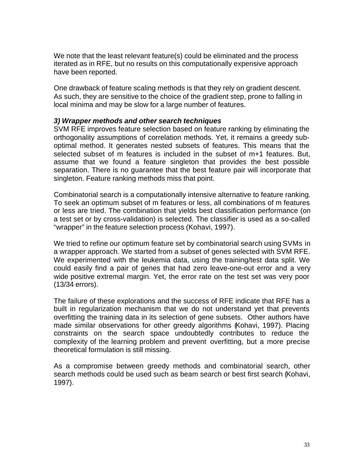We note that the least relevant feature(s) could be eliminated and the process iterated as in RFE, but no results on this computationally expensive approach have been reported.

One drawback of feature scaling methods is that they rely on gradient descent. As such, they are sensitive to the choice of the gradient step, prone to falling in local minima and may be slow for a large number of features.

#### *3) Wrapper methods and other search techniques*

SVM RFE improves feature selection based on feature ranking by eliminating the orthogonality assumptions of correlation methods. Yet, it remains a greedy suboptimal method. It generates nested subsets of features. This means that the selected subset of m features is included in the subset of m+1 features. But, assume that we found a feature singleton that provides the best possible separation. There is no guarantee that the best feature pair will incorporate that singleton. Feature ranking methods miss that point.

Combinatorial search is a computationally intensive alternative to feature ranking. To seek an optimum subset of m features or less, all combinations of m features or less are tried. The combination that yields best classification performance (on a test set or by cross-validation) is selected. The classifier is used as a so-called "wrapper" in the feature selection process (Kohavi, 1997).

We tried to refine our optimum feature set by combinatorial search using SVMs in a wrapper approach. We started from a subset of genes selected with SVM RFE. We experimented with the leukemia data, using the training/test data split. We could easily find a pair of genes that had zero leave-one-out error and a very wide positive extremal margin. Yet, the error rate on the test set was very poor (13/34 errors).

The failure of these explorations and the success of RFE indicate that RFE has a built in regularization mechanism that we do not understand yet that prevents overfitting the training data in its selection of gene subsets. Other authors have made similar observations for other greedy algorithms (Kohavi, 1997). Placing constraints on the search space undoubtedly contributes to reduce the complexity of the learning problem and prevent overfitting, but a more precise theoretical formulation is still missing.

As a compromise between greedy methods and combinatorial search, other search methods could be used such as beam search or best first search (Kohavi, 1997).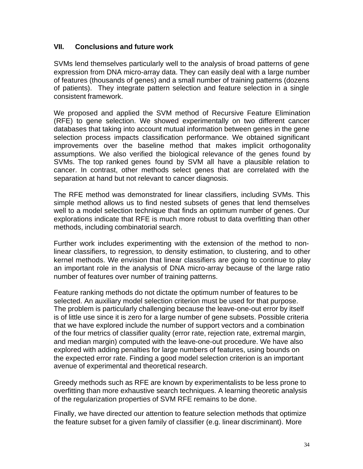#### **VII. Conclusions and future work**

SVMs lend themselves particularly well to the analysis of broad patterns of gene expression from DNA micro-array data. They can easily deal with a large number of features (thousands of genes) and a small number of training patterns (dozens of patients). They integrate pattern selection and feature selection in a single consistent framework.

We proposed and applied the SVM method of Recursive Feature Elimination (RFE) to gene selection. We showed experimentally on two different cancer databases that taking into account mutual information between genes in the gene selection process impacts classification performance. We obtained significant improvements over the baseline method that makes implicit orthogonality assumptions. We also verified the biological relevance of the genes found by SVMs. The top ranked genes found by SVM all have a plausible relation to cancer. In contrast, other methods select genes that are correlated with the separation at hand but not relevant to cancer diagnosis.

The RFE method was demonstrated for linear classifiers, including SVMs. This simple method allows us to find nested subsets of genes that lend themselves well to a model selection technique that finds an optimum number of genes. Our explorations indicate that RFE is much more robust to data overfitting than other methods, including combinatorial search.

Further work includes experimenting with the extension of the method to nonlinear classifiers, to regression, to density estimation, to clustering, and to other kernel methods. We envision that linear classifiers are going to continue to play an important role in the analysis of DNA micro-array because of the large ratio number of features over number of training patterns.

Feature ranking methods do not dictate the optimum number of features to be selected. An auxiliary model selection criterion must be used for that purpose. The problem is particularly challenging because the leave-one-out error by itself is of little use since it is zero for a large number of gene subsets. Possible criteria that we have explored include the number of support vectors and a combination of the four metrics of classifier quality (error rate, rejection rate, extremal margin, and median margin) computed with the leave-one-out procedure. We have also explored with adding penalties for large numbers of features, using bounds on the expected error rate. Finding a good model selection criterion is an important avenue of experimental and theoretical research.

Greedy methods such as RFE are known by experimentalists to be less prone to overfitting than more exhaustive search techniques. A learning theoretic analysis of the regularization properties of SVM RFE remains to be done.

Finally, we have directed our attention to feature selection methods that optimize the feature subset for a given family of classifier (e.g. linear discriminant). More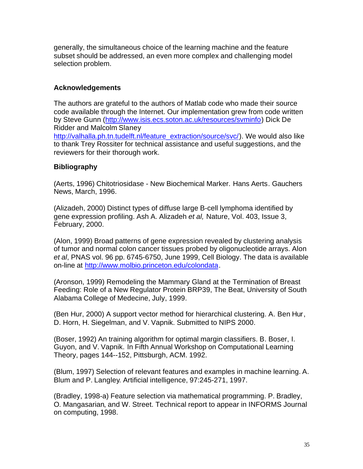generally, the simultaneous choice of the learning machine and the feature subset should be addressed, an even more complex and challenging model selection problem.

#### **Acknowledgements**

The authors are grateful to the authors of Matlab code who made their source code available through the Internet. Our implementation grew from code written by Steve Gunn (http://www.isis.ecs.soton.ac.uk/resources/svminfo) Dick De Ridder and Malcolm Slaney

http://valhalla.ph.tn.tudelft.nl/feature\_extraction/source/svc/). We would also like to thank Trey Rossiter for technical assistance and useful suggestions, and the reviewers for their thorough work.

#### **Bibliography**

(Aerts, 1996) Chitotriosidase - New Biochemical Marker. Hans Aerts. Gauchers News, March, 1996.

(Alizadeh, 2000) Distinct types of diffuse large B-cell lymphoma identified by gene expression profiling. Ash A. Alizadeh *et al,* Nature, Vol. 403, Issue 3, February, 2000.

(Alon, 1999) Broad patterns of gene expression revealed by clustering analysis of tumor and normal colon cancer tissues probed by oligonucleotide arrays. Alon *et al*, PNAS vol. 96 pp. 6745-6750, June 1999, Cell Biology. The data is available on-line at http://www.molbio.princeton.edu/colondata.

(Aronson, 1999) Remodeling the Mammary Gland at the Termination of Breast Feeding: Role of a New Regulator Protein BRP39, The Beat, University of South Alabama College of Medecine, July, 1999.

(Ben Hur, 2000) A support vector method for hierarchical clustering. A. Ben Hur, D. Horn, H. Siegelman, and V. Vapnik. Submitted to NIPS 2000.

(Boser, 1992) An training algorithm for optimal margin classifiers. B. Boser, I. Guyon, and V. Vapnik. In Fifth Annual Workshop on Computational Learning Theory, pages 144--152, Pittsburgh, ACM. 1992.

(Blum, 1997) Selection of relevant features and examples in machine learning. A. Blum and P. Langley. Artificial intelligence, 97:245-271, 1997.

(Bradley, 1998-a) Feature selection via mathematical programming. P. Bradley, O. Mangasarian, and W. Street. Technical report to appear in INFORMS Journal on computing, 1998.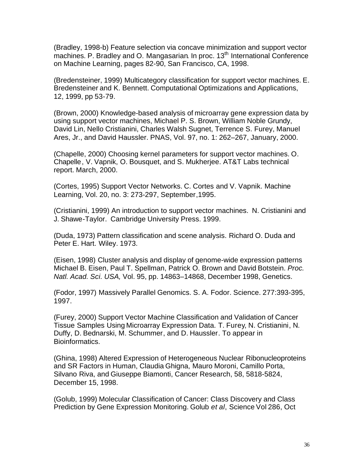(Bradley, 1998-b) Feature selection via concave minimization and support vector machines. P. Bradley and O. Mangasarian. In proc. 13<sup>th</sup> International Conference on Machine Learning, pages 82-90, San Francisco, CA, 1998.

(Bredensteiner, 1999) Multicategory classification for support vector machines. E. Bredensteiner and K. Bennett. Computational Optimizations and Applications, 12, 1999, pp 53-79.

(Brown, 2000) Knowledge-based analysis of microarray gene expression data by using support vector machines, Michael P. S. Brown, William Noble Grundy, David Lin, Nello Cristianini, Charles Walsh Sugnet, Terrence S. Furey, Manuel Ares, Jr., and David Haussler. PNAS, Vol. 97, no. 1: 262–267, January, 2000.

(Chapelle, 2000) Choosing kernel parameters for support vector machines. O. Chapelle, V. Vapnik, O. Bousquet, and S. Mukherjee. AT&T Labs technical report. March, 2000.

(Cortes, 1995) Support Vector Networks. C. Cortes and V. Vapnik. Machine Learning, Vol. 20, no. 3: 273-297, September,1995.

(Cristianini, 1999) An introduction to support vector machines. N. Cristianini and J. Shawe-Taylor. Cambridge University Press. 1999.

(Duda, 1973) Pattern classification and scene analysis. Richard O. Duda and Peter E. Hart. Wiley. 1973.

(Eisen, 1998) Cluster analysis and display of genome-wide expression patterns Michael B. Eisen, Paul T. Spellman, Patrick O. Brown and David Botstein. *Proc. Natl. Acad. Sci. USA,* Vol. 95, pp. 14863–14868, December 1998, Genetics.

(Fodor, 1997) Massively Parallel Genomics. S. A. Fodor. Science. 277:393-395, 1997.

(Furey, 2000) Support Vector Machine Classification and Validation of Cancer Tissue Samples Using Microarray Expression Data. T. Furey, N. Cristianini, N. Duffy, D. Bednarski, M. Schummer, and D. Haussler. To appear in Bioinformatics.

(Ghina, 1998) Altered Expression of Heterogeneous Nuclear Ribonucleoproteins and SR Factors in Human, Claudia Ghigna, Mauro Moroni, Camillo Porta, Silvano Riva, and Giuseppe Biamonti, Cancer Research, 58, 5818-5824, December 15, 1998.

(Golub, 1999) Molecular Classification of Cancer: Class Discovery and Class Prediction by Gene Expression Monitoring. Golub *et al*, Science Vol 286, Oct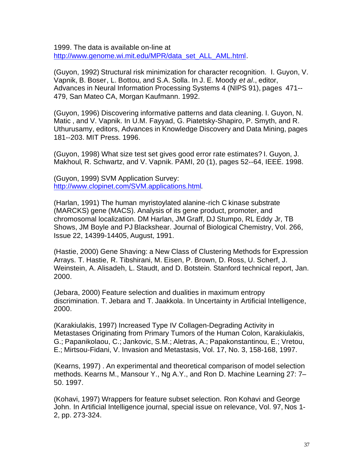1999. The data is available on-line at http://www.genome.wi.mit.edu/MPR/data\_set\_ALL\_AML.html.

(Guyon, 1992) Structural risk minimization for character recognition. I. Guyon, V. Vapnik, B. Boser, L. Bottou, and S.A. Solla. In J. E. Moody *et al*., editor, Advances in Neural Information Processing Systems 4 (NIPS 91), pages 471-- 479, San Mateo CA, Morgan Kaufmann. 1992.

(Guyon, 1996) Discovering informative patterns and data cleaning. I. Guyon, N. Matic , and V. Vapnik. In U.M. Fayyad, G. Piatetsky-Shapiro, P. Smyth, and R. Uthurusamy, editors, Advances in Knowledge Discovery and Data Mining, pages 181--203. MIT Press. 1996.

(Guyon, 1998) What size test set gives good error rate estimates? I. Guyon, J. Makhoul, R. Schwartz, and V. Vapnik. PAMI, 20 (1), pages 52--64, IEEE. 1998.

(Guyon, 1999) SVM Application Survey: http://www.clopinet.com/SVM.applications.html.

(Harlan, 1991) The human myristoylated alanine-rich C kinase substrate (MARCKS) gene (MACS). Analysis of its gene product, promoter, and chromosomal localization. DM Harlan, JM Graff, DJ Stumpo, RL Eddy Jr, TB Shows, JM Boyle and PJ Blackshear. Journal of Biological Chemistry, Vol. 266, Issue 22, 14399-14405, August, 1991.

(Hastie, 2000) Gene Shaving: a New Class of Clustering Methods for Expression Arrays. T. Hastie, R. Tibshirani, M. Eisen, P. Brown, D. Ross, U. Scherf, J. Weinstein, A. Alisadeh, L. Staudt, and D. Botstein. Stanford technical report, Jan. 2000.

(Jebara, 2000) Feature selection and dualities in maximum entropy discrimination. T. Jebara and T. Jaakkola. In Uncertainty in Artificial Intelligence, 2000.

(Karakiulakis, 1997) Increased Type IV Collagen-Degrading Activity in Metastases Originating from Primary Tumors of the Human Colon, Karakiulakis, G.; Papanikolaou, C.; Jankovic, S.M.; Aletras, A.; Papakonstantinou, E.; Vretou, E.; Mirtsou-Fidani, V. Invasion and Metastasis, Vol. 17, No. 3, 158-168, 1997.

(Kearns, 1997) . An experimental and theoretical comparison of model selection methods. Kearns M., Mansour Y., Ng A.Y., and Ron D. Machine Learning 27: 7– 50. 1997.

(Kohavi, 1997) Wrappers for feature subset selection. Ron Kohavi and George John. In Artificial Intelligence journal, special issue on relevance, Vol. 97, Nos 1- 2, pp. 273-324.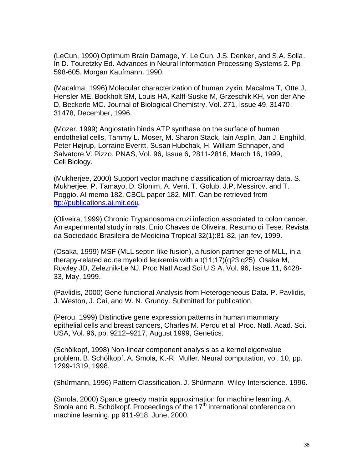(LeCun, 1990) Optimum Brain Damage, Y. Le Cun, J.S. Denker, and S.A. Solla. In D. Touretzky Ed. Advances in Neural Information Processing Systems 2. Pp 598-605, Morgan Kaufmann. 1990.

(Macalma, 1996) Molecular characterization of human zyxin. Macalma T, Otte J, Hensler ME, Bockholt SM, Louis HA, Kalff-Suske M, Grzeschik KH, von der Ahe D, Beckerle MC. Journal of Biological Chemistry. Vol. 271, Issue 49, 31470- 31478, December, 1996.

(Mozer, 1999) Angiostatin binds ATP synthase on the surface of human endothelial cells, Tammy L. Moser, M. Sharon Stack, Iain Asplin, Jan J. Enghild, Peter Højrup, Lorraine Everitt, Susan Hubchak, H. William Schnaper, and Salvatore V. Pizzo, PNAS, Vol. 96, Issue 6, 2811-2816, March 16, 1999, Cell Biology.

(Mukherjee, 2000) Support vector machine classification of microarray data. S. Mukherjee, P. Tamayo, D. Slonim, A. Verri, T. Golub, J.P. Messirov, and T. Poggio. AI memo 182. CBCL paper 182. MIT. Can be retrieved from ftp://publications.ai.mit.edu.

(Oliveira, 1999) Chronic Trypanosoma cruzi infection associated to colon cancer. An experimental study in rats. Enio Chaves de Oliveira. Resumo di Tese. Revista da Sociedade Brasileira de Medicina Tropical 32(1):81-82, jan-fev, 1999.

(Osaka, 1999) MSF (MLL septin-like fusion), a fusion partner gene of MLL, in a therapy-related acute myeloid leukemia with a t(11;17)(q23;q25). Osaka M, Rowley JD, Zeleznik-Le NJ, Proc Natl Acad Sci U S A. Vol. 96, Issue 11, 6428- 33, May, 1999.

(Pavlidis, 2000) Gene functional Analysis from Heterogeneous Data. P. Pavlidis, J. Weston, J. Cai, and W. N. Grundy. Submitted for publication.

(Perou, 1999) Distinctive gene expression patterns in human mammary epithelial cells and breast cancers, Charles M. Perou et al Proc. Natl. Acad. Sci. USA, Vol. 96, pp. 9212–9217, August 1999, Genetics.

(Schölkopf, 1998) Non-linear component analysis as a kernel eigenvalue problem. B. Schölkopf, A. Smola, K.-R. Muller. Neural computation, vol. 10, pp. 1299-1319, 1998.

(Shürmann, 1996) Pattern Classification. J. Shürmann. Wiley Interscience. 1996.

(Smola, 2000) Sparce greedy matrix approximation for machine learning. A. Smola and B. Schölkopf. Proceedings of the 17<sup>th</sup> international conference on machine learning, pp 911-918. June, 2000.